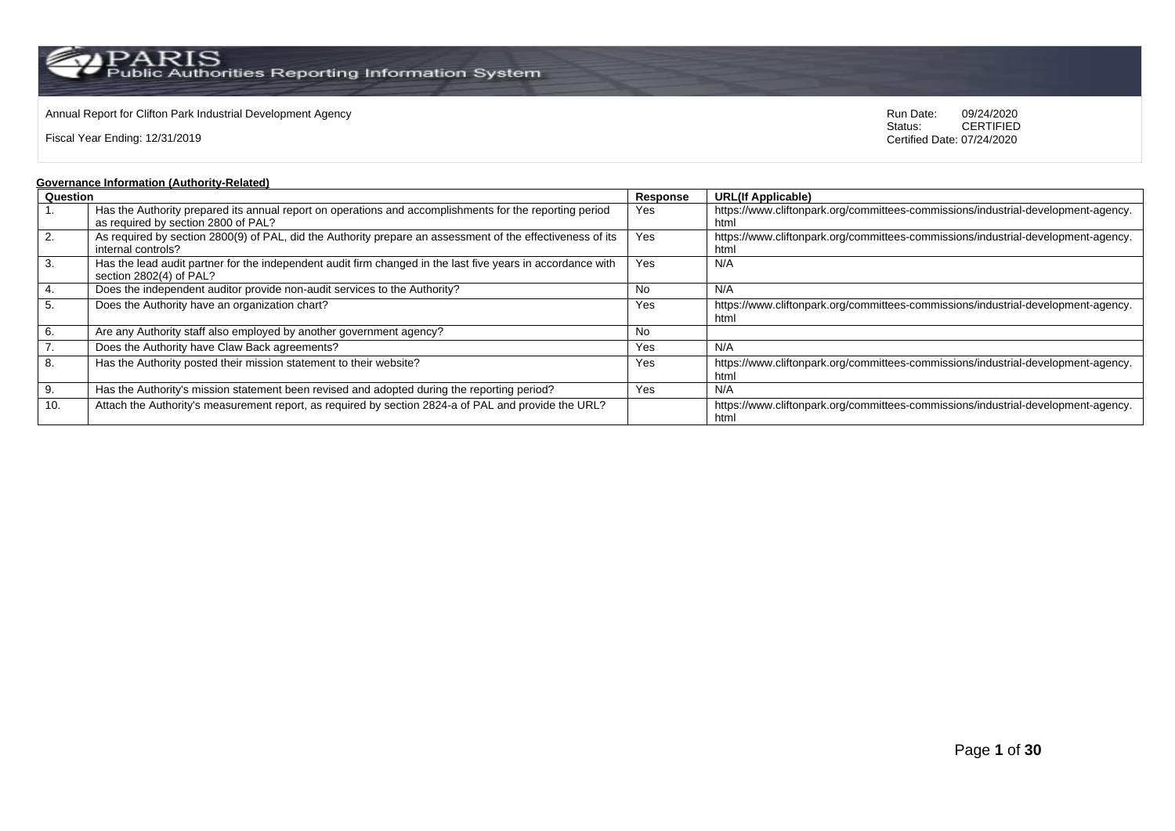### Annual Report for Clifton Park Industrial Development Agency<br>
Status: CERTIFIED<br>
CERTIFIED

Fiscal Year Ending: 12/31/2019

CERTIFIED Certified Date: 07/24/2020

### **Governance Information (Authority-Related)**

| Question |                                                                                                                                                | Response  | <b>URL(If Applicable)</b>                                                                 |
|----------|------------------------------------------------------------------------------------------------------------------------------------------------|-----------|-------------------------------------------------------------------------------------------|
|          | Has the Authority prepared its annual report on operations and accomplishments for the reporting period<br>as required by section 2800 of PAL? | Yes       | https://www.cliftonpark.org/committees-commissions/industrial-development-agency.<br>html |
| 2.       | As required by section 2800(9) of PAL, did the Authority prepare an assessment of the effectiveness of its<br>internal controls?               | Yes       | https://www.cliftonpark.org/committees-commissions/industrial-development-agency.<br>html |
| 3.       | Has the lead audit partner for the independent audit firm changed in the last five years in accordance with<br>section 2802(4) of PAL?         | Yes       | N/A                                                                                       |
| 4.       | Does the independent auditor provide non-audit services to the Authority?                                                                      | <b>No</b> | N/A                                                                                       |
| 5.       | Does the Authority have an organization chart?                                                                                                 | Yes       | https://www.cliftonpark.org/committees-commissions/industrial-development-agency.<br>html |
| 6.       | Are any Authority staff also employed by another government agency?                                                                            | No.       |                                                                                           |
|          | Does the Authority have Claw Back agreements?                                                                                                  | Yes       | N/A                                                                                       |
| 8.       | Has the Authority posted their mission statement to their website?                                                                             | Yes       | https://www.cliftonpark.org/committees-commissions/industrial-development-agency.<br>html |
| 9.       | Has the Authority's mission statement been revised and adopted during the reporting period?                                                    | Yes       | N/A                                                                                       |
| 10.      | Attach the Authority's measurement report, as required by section 2824-a of PAL and provide the URL?                                           |           | https://www.cliftonpark.org/committees-commissions/industrial-development-agency.<br>html |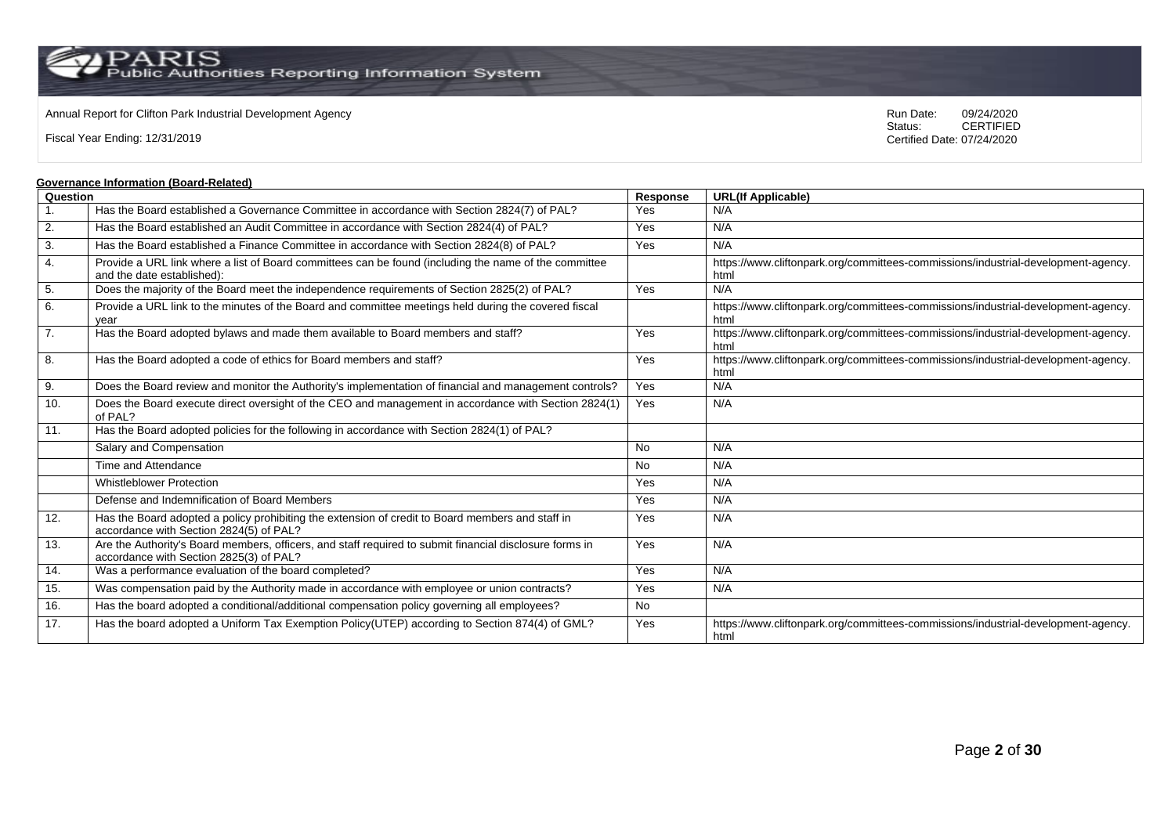### Annual Report for Clifton Park Industrial Development Agency<br>
Status: CERTIFIED<br>
CERTIFIED

Fiscal Year Ending: 12/31/2019

CERTIFIED Certified Date: 07/24/2020

#### **Governance Information (Board-Related)**

| Question         | <u>Sovernance imormation (Board-Related)</u>                                                                                                       | Response   | <b>URL(If Applicable)</b>                                                                 |
|------------------|----------------------------------------------------------------------------------------------------------------------------------------------------|------------|-------------------------------------------------------------------------------------------|
| 1.               | Has the Board established a Governance Committee in accordance with Section 2824(7) of PAL?                                                        | <b>Yes</b> | N/A                                                                                       |
| 2.               | Has the Board established an Audit Committee in accordance with Section 2824(4) of PAL?                                                            | Yes        | N/A                                                                                       |
| 3.               | Has the Board established a Finance Committee in accordance with Section 2824(8) of PAL?                                                           | Yes        | N/A                                                                                       |
| 4.               | Provide a URL link where a list of Board committees can be found (including the name of the committee<br>and the date established):                |            | https://www.cliftonpark.org/committees-commissions/industrial-development-agency.<br>html |
| 5.               | Does the majority of the Board meet the independence requirements of Section 2825(2) of PAL?                                                       | Yes        | N/A                                                                                       |
| 6.               | Provide a URL link to the minutes of the Board and committee meetings held during the covered fiscal<br>year                                       |            | https://www.cliftonpark.org/committees-commissions/industrial-development-agency.<br>html |
| $\overline{7}$ . | Has the Board adopted bylaws and made them available to Board members and staff?                                                                   | Yes        | https://www.cliftonpark.org/committees-commissions/industrial-development-agency.<br>html |
| 8.               | Has the Board adopted a code of ethics for Board members and staff?                                                                                | Yes        | https://www.cliftonpark.org/committees-commissions/industrial-development-agency.<br>html |
| 9.               | Does the Board review and monitor the Authority's implementation of financial and management controls?                                             | Yes        | N/A                                                                                       |
| 10.              | Does the Board execute direct oversight of the CEO and management in accordance with Section 2824(1)<br>of PAL?                                    | Yes        | N/A                                                                                       |
| 11.              | Has the Board adopted policies for the following in accordance with Section 2824(1) of PAL?                                                        |            |                                                                                           |
|                  | Salary and Compensation                                                                                                                            | No         | N/A                                                                                       |
|                  | Time and Attendance                                                                                                                                | <b>No</b>  | N/A                                                                                       |
|                  | <b>Whistleblower Protection</b>                                                                                                                    | Yes        | N/A                                                                                       |
|                  | Defense and Indemnification of Board Members                                                                                                       | Yes        | N/A                                                                                       |
| 12.              | Has the Board adopted a policy prohibiting the extension of credit to Board members and staff in<br>accordance with Section 2824(5) of PAL?        | Yes        | N/A                                                                                       |
| 13.              | Are the Authority's Board members, officers, and staff required to submit financial disclosure forms in<br>accordance with Section 2825(3) of PAL? | Yes        | N/A                                                                                       |
| 14.              | Was a performance evaluation of the board completed?                                                                                               | Yes        | N/A                                                                                       |
| 15.              | Was compensation paid by the Authority made in accordance with employee or union contracts?                                                        | <b>Yes</b> | N/A                                                                                       |
| 16.              | Has the board adopted a conditional/additional compensation policy governing all employees?                                                        | No         |                                                                                           |
| 17.              | Has the board adopted a Uniform Tax Exemption Policy(UTEP) according to Section 874(4) of GML?                                                     | Yes        | https://www.cliftonpark.org/committees-commissions/industrial-development-agency.<br>html |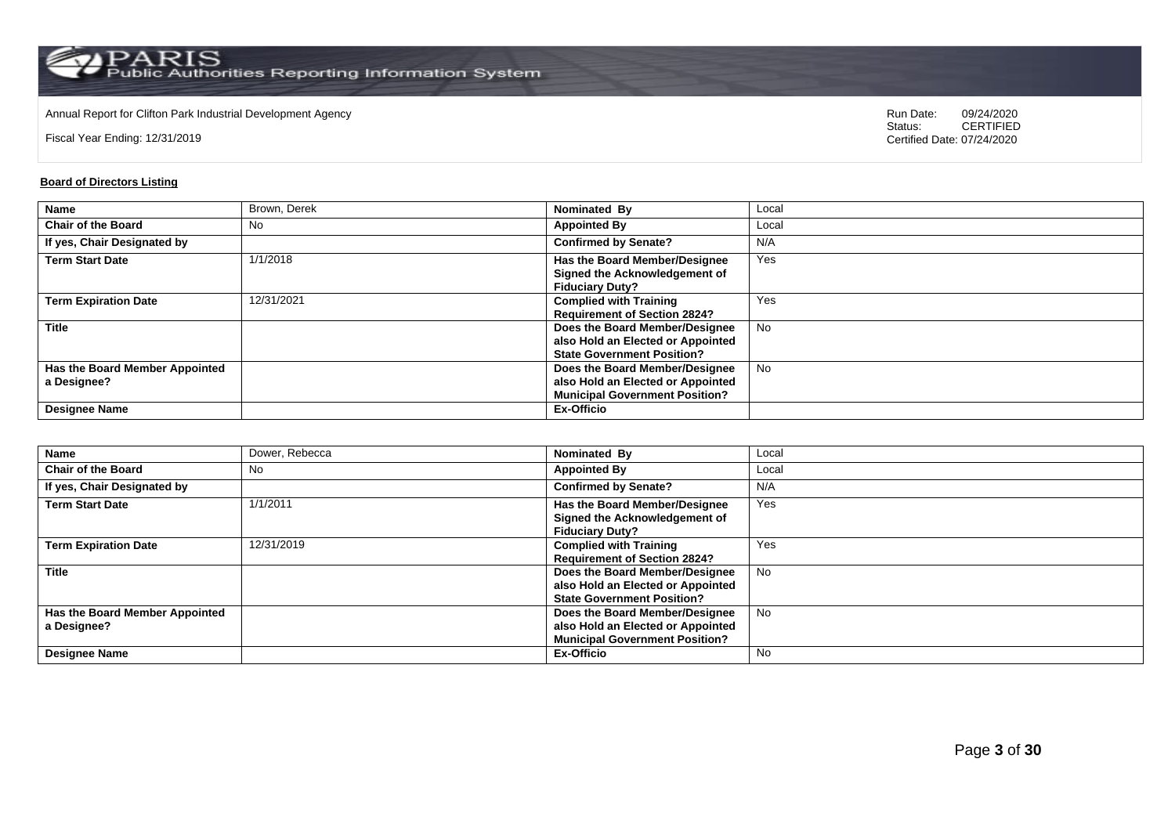Annual Report for Clifton Park Industrial Development Agency<br>
Status: CERTIFIED<br>
CERTIFIED

Fiscal Year Ending: 12/31/2019

CERTIFIED Certified Date: 07/24/2020

### **Board of Directors Listing**

| <b>Name</b>                    | Brown, Derek | Nominated By                          | Local     |
|--------------------------------|--------------|---------------------------------------|-----------|
| <b>Chair of the Board</b>      | No           | <b>Appointed By</b>                   | Local     |
| If yes, Chair Designated by    |              | <b>Confirmed by Senate?</b>           | N/A       |
| <b>Term Start Date</b>         | 1/1/2018     | Has the Board Member/Designee         | Yes       |
|                                |              | Signed the Acknowledgement of         |           |
|                                |              | <b>Fiduciary Duty?</b>                |           |
| <b>Term Expiration Date</b>    | 12/31/2021   | <b>Complied with Training</b>         | Yes       |
|                                |              | <b>Requirement of Section 2824?</b>   |           |
| <b>Title</b>                   |              | Does the Board Member/Designee        | <b>No</b> |
|                                |              | also Hold an Elected or Appointed     |           |
|                                |              | <b>State Government Position?</b>     |           |
| Has the Board Member Appointed |              | Does the Board Member/Designee        | <b>No</b> |
| a Designee?                    |              | also Hold an Elected or Appointed     |           |
|                                |              | <b>Municipal Government Position?</b> |           |
| <b>Designee Name</b>           |              | <b>Ex-Officio</b>                     |           |

| <b>Name</b>                                   | Dower, Rebecca | Nominated By                                                                                                 | Local     |
|-----------------------------------------------|----------------|--------------------------------------------------------------------------------------------------------------|-----------|
| <b>Chair of the Board</b>                     | No             | <b>Appointed By</b>                                                                                          | Local     |
| If yes, Chair Designated by                   |                | <b>Confirmed by Senate?</b>                                                                                  | N/A       |
| <b>Term Start Date</b>                        | 1/1/2011       | Has the Board Member/Designee<br>Signed the Acknowledgement of<br><b>Fiduciary Duty?</b>                     | Yes       |
| <b>Term Expiration Date</b>                   | 12/31/2019     | <b>Complied with Training</b><br><b>Requirement of Section 2824?</b>                                         | Yes       |
| <b>Title</b>                                  |                | Does the Board Member/Designee<br>also Hold an Elected or Appointed<br><b>State Government Position?</b>     | <b>No</b> |
| Has the Board Member Appointed<br>a Designee? |                | Does the Board Member/Designee<br>also Hold an Elected or Appointed<br><b>Municipal Government Position?</b> | <b>No</b> |
| <b>Designee Name</b>                          |                | Ex-Officio                                                                                                   | <b>No</b> |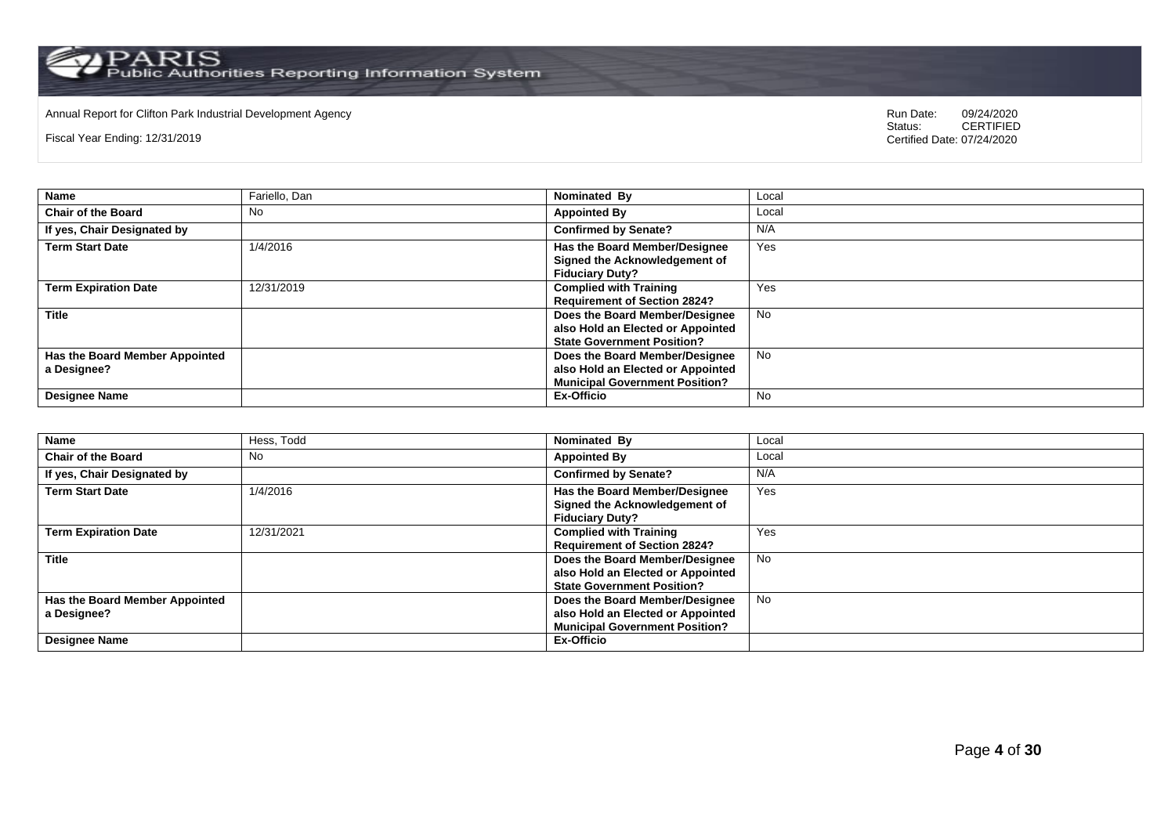# Annual Report for Clifton Park Industrial Development Agency<br>
Status: CERTIFIED

Fiscal Year Ending: 12/31/2019

| <b>Name</b>                                   | Fariello. Dan | Nominated By                                                                                                 | Local     |
|-----------------------------------------------|---------------|--------------------------------------------------------------------------------------------------------------|-----------|
| <b>Chair of the Board</b>                     | No            | <b>Appointed By</b>                                                                                          | Local     |
| If yes, Chair Designated by                   |               | <b>Confirmed by Senate?</b>                                                                                  | N/A       |
| <b>Term Start Date</b>                        | 1/4/2016      | Has the Board Member/Designee<br>Signed the Acknowledgement of<br><b>Fiduciary Duty?</b>                     | Yes       |
| <b>Term Expiration Date</b>                   | 12/31/2019    | <b>Complied with Training</b><br><b>Requirement of Section 2824?</b>                                         | Yes       |
| <b>Title</b>                                  |               | Does the Board Member/Designee<br>also Hold an Elected or Appointed<br><b>State Government Position?</b>     | <b>No</b> |
| Has the Board Member Appointed<br>a Designee? |               | Does the Board Member/Designee<br>also Hold an Elected or Appointed<br><b>Municipal Government Position?</b> | <b>No</b> |
| <b>Designee Name</b>                          |               | <b>Ex-Officio</b>                                                                                            | <b>No</b> |

| <b>Name</b>                    | Hess, Todd | <b>Nominated By</b>                   | Local     |
|--------------------------------|------------|---------------------------------------|-----------|
| <b>Chair of the Board</b>      | No         | <b>Appointed By</b>                   | Local     |
| If yes, Chair Designated by    |            | <b>Confirmed by Senate?</b>           | N/A       |
| <b>Term Start Date</b>         | 1/4/2016   | Has the Board Member/Designee         | Yes       |
|                                |            | Signed the Acknowledgement of         |           |
|                                |            | <b>Fiduciary Duty?</b>                |           |
| <b>Term Expiration Date</b>    | 12/31/2021 | <b>Complied with Training</b>         | Yes       |
|                                |            | <b>Requirement of Section 2824?</b>   |           |
| Title                          |            | Does the Board Member/Designee        | <b>No</b> |
|                                |            | also Hold an Elected or Appointed     |           |
|                                |            | <b>State Government Position?</b>     |           |
| Has the Board Member Appointed |            | Does the Board Member/Designee        | <b>No</b> |
| a Designee?                    |            | also Hold an Elected or Appointed     |           |
|                                |            | <b>Municipal Government Position?</b> |           |
| <b>Designee Name</b>           |            | Ex-Officio                            |           |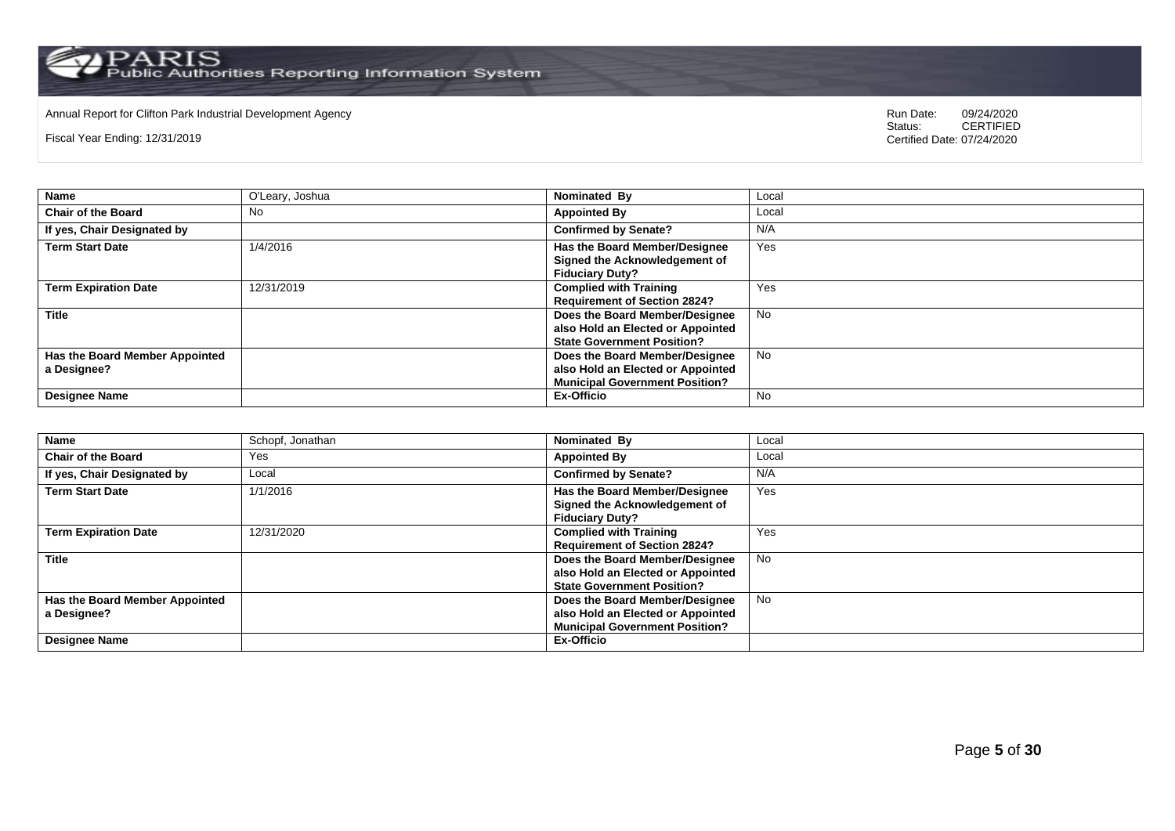# Annual Report for Clifton Park Industrial Development Agency<br>
Status: CERTIFIED

Fiscal Year Ending: 12/31/2019

| <b>Name</b>                                   | O'Leary, Joshua | Nominated By                                                                                                 | Local     |
|-----------------------------------------------|-----------------|--------------------------------------------------------------------------------------------------------------|-----------|
| <b>Chair of the Board</b>                     | <b>No</b>       | <b>Appointed By</b>                                                                                          | Local     |
| If yes, Chair Designated by                   |                 | <b>Confirmed by Senate?</b>                                                                                  | N/A       |
| <b>Term Start Date</b>                        | 1/4/2016        | <b>Has the Board Member/Designee</b><br>Signed the Acknowledgement of<br><b>Fiduciary Duty?</b>              | Yes       |
| <b>Term Expiration Date</b>                   | 12/31/2019      | <b>Complied with Training</b><br><b>Requirement of Section 2824?</b>                                         | Yes       |
| <b>Title</b>                                  |                 | Does the Board Member/Designee<br>also Hold an Elected or Appointed<br><b>State Government Position?</b>     | <b>No</b> |
| Has the Board Member Appointed<br>a Designee? |                 | Does the Board Member/Designee<br>also Hold an Elected or Appointed<br><b>Municipal Government Position?</b> | <b>No</b> |
| <b>Designee Name</b>                          |                 | Ex-Officio                                                                                                   | No        |

| <b>Name</b>                    | Schopf, Jonathan | Nominated By                          | Local     |
|--------------------------------|------------------|---------------------------------------|-----------|
| <b>Chair of the Board</b>      | <b>Yes</b>       | <b>Appointed By</b>                   | Local     |
| If yes, Chair Designated by    | Local            | <b>Confirmed by Senate?</b>           | N/A       |
| <b>Term Start Date</b>         | 1/1/2016         | Has the Board Member/Designee         | Yes       |
|                                |                  | Signed the Acknowledgement of         |           |
|                                |                  | <b>Fiduciary Duty?</b>                |           |
| <b>Term Expiration Date</b>    | 12/31/2020       | <b>Complied with Training</b>         | Yes       |
|                                |                  | <b>Requirement of Section 2824?</b>   |           |
| <b>Title</b>                   |                  | Does the Board Member/Designee        | <b>No</b> |
|                                |                  | also Hold an Elected or Appointed     |           |
|                                |                  | <b>State Government Position?</b>     |           |
| Has the Board Member Appointed |                  | Does the Board Member/Designee        | <b>No</b> |
| a Designee?                    |                  | also Hold an Elected or Appointed     |           |
|                                |                  | <b>Municipal Government Position?</b> |           |
| <b>Designee Name</b>           |                  | Ex-Officio                            |           |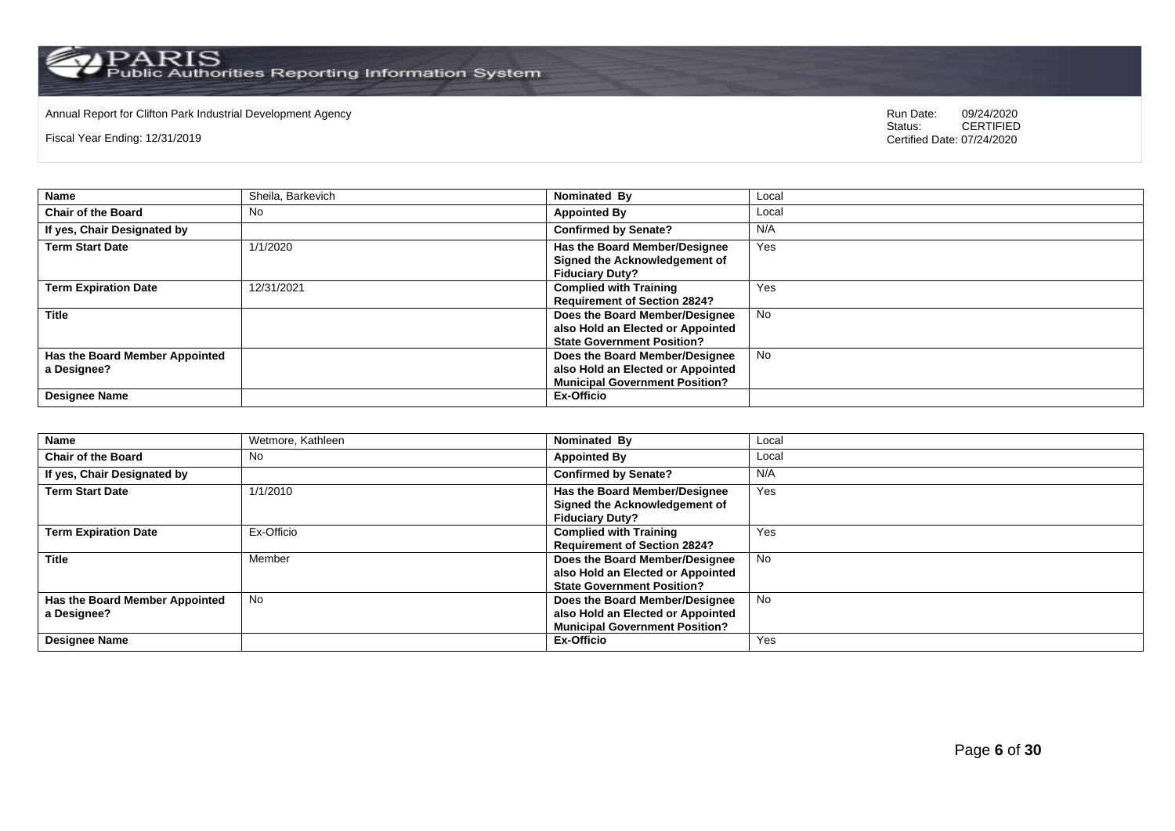Annual Report for Clifton Park Industrial Development Agency<br>
Status: CERTIFIED

Fiscal Year Ending: 12/31/2019

| <b>Name</b>                    | Sheila, Barkevich | Nominated By                          | Local     |
|--------------------------------|-------------------|---------------------------------------|-----------|
| <b>Chair of the Board</b>      | No                | <b>Appointed By</b>                   | Local     |
| If yes, Chair Designated by    |                   | <b>Confirmed by Senate?</b>           | N/A       |
| <b>Term Start Date</b>         | 1/1/2020          | Has the Board Member/Designee         | Yes       |
|                                |                   | Signed the Acknowledgement of         |           |
|                                |                   | <b>Fiduciary Duty?</b>                |           |
| <b>Term Expiration Date</b>    | 12/31/2021        | <b>Complied with Training</b>         | Yes       |
|                                |                   | <b>Requirement of Section 2824?</b>   |           |
| <b>Title</b>                   |                   | Does the Board Member/Designee        | <b>No</b> |
|                                |                   | also Hold an Elected or Appointed     |           |
|                                |                   | <b>State Government Position?</b>     |           |
| Has the Board Member Appointed |                   | Does the Board Member/Designee        | <b>No</b> |
| a Designee?                    |                   | also Hold an Elected or Appointed     |           |
|                                |                   | <b>Municipal Government Position?</b> |           |
| <b>Designee Name</b>           |                   | <b>Ex-Officio</b>                     |           |

| <b>Name</b>                    | Wetmore, Kathleen | Nominated By                          | Local     |
|--------------------------------|-------------------|---------------------------------------|-----------|
| <b>Chair of the Board</b>      | No                | <b>Appointed By</b>                   | Local     |
| If yes, Chair Designated by    |                   | <b>Confirmed by Senate?</b>           | N/A       |
| <b>Term Start Date</b>         | 1/1/2010          | Has the Board Member/Designee         | Yes       |
|                                |                   | Signed the Acknowledgement of         |           |
|                                |                   | <b>Fiduciary Duty?</b>                |           |
| <b>Term Expiration Date</b>    | Ex-Officio        | <b>Complied with Training</b>         | Yes       |
|                                |                   | <b>Requirement of Section 2824?</b>   |           |
| <b>Title</b>                   | Member            | Does the Board Member/Designee        | <b>No</b> |
|                                |                   | also Hold an Elected or Appointed     |           |
|                                |                   | <b>State Government Position?</b>     |           |
| Has the Board Member Appointed | No                | Does the Board Member/Designee        | <b>No</b> |
| a Designee?                    |                   | also Hold an Elected or Appointed     |           |
|                                |                   | <b>Municipal Government Position?</b> |           |
| <b>Designee Name</b>           |                   | Ex-Officio                            | Yes       |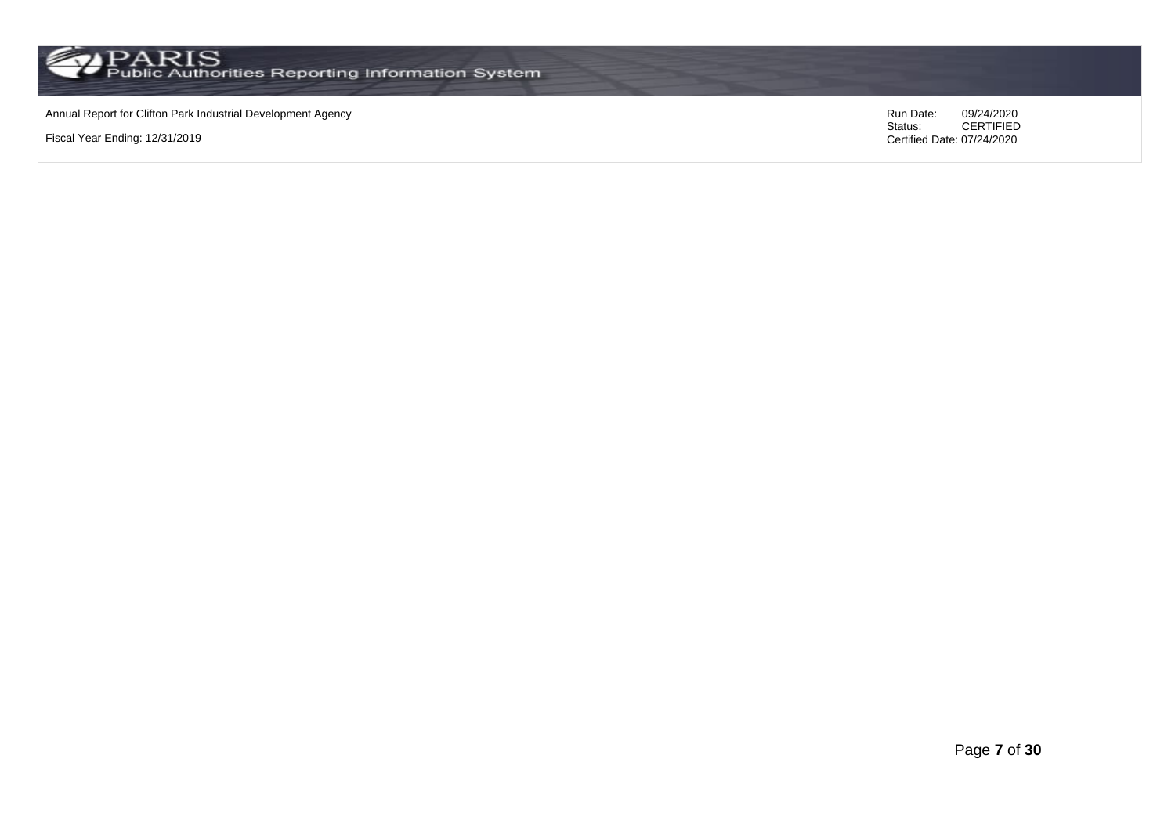Annual Report for Clifton Park Industrial Development Agency<br>
Status: CERTIFIED

Fiscal Year Ending: 12/31/2019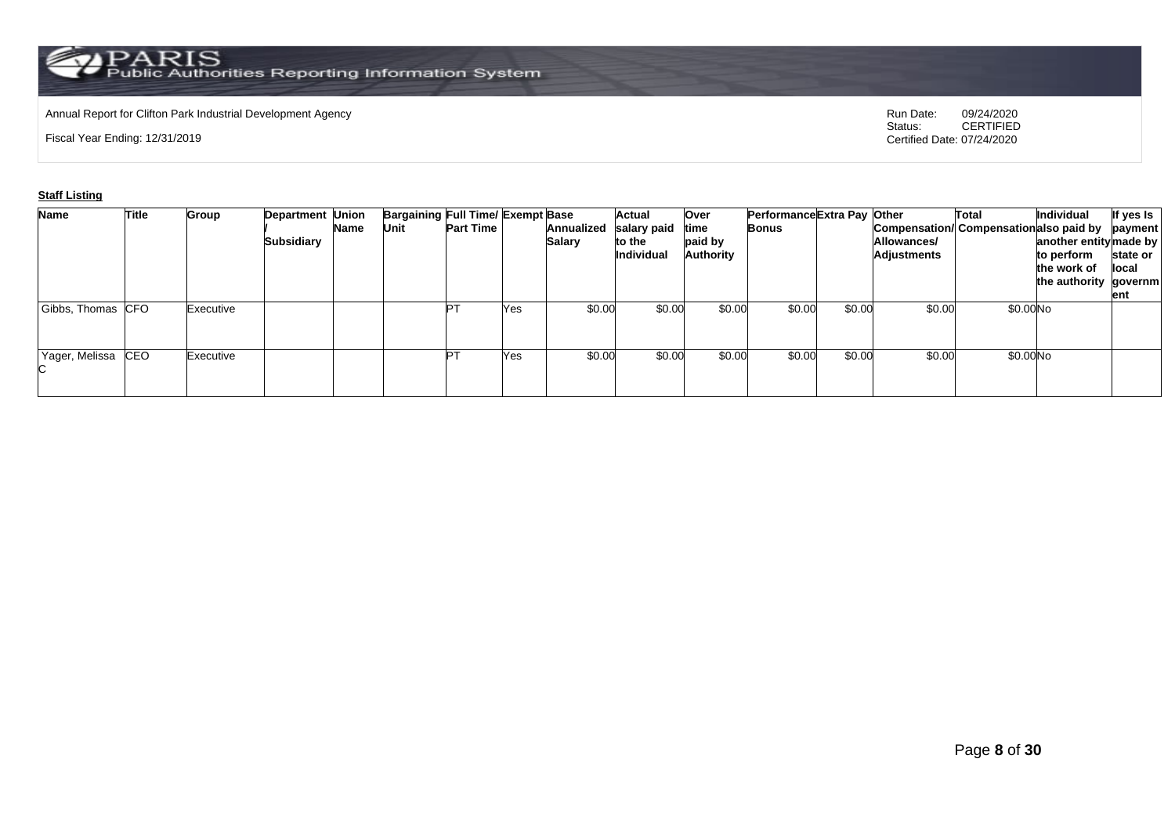# Annual Report for Clifton Park Industrial Development Agency<br>
Status: CERTIFIED

Fiscal Year Ending: 12/31/2019

CERTIFIED Certified Date: 07/24/2020

### **Staff Listing**

| <b>Name</b>        | <b>Title</b> | Group     | <b>Department Union</b><br><b>Subsidiary</b> | Name | <b>Bargaining Full Time/ Exempt Base</b><br>Unit | <b>Part Time</b> |     | Annualized<br>Salary | <b>Actual</b><br>salary paid<br>to the<br>Individual | Over<br>time<br>paid by<br>Authority | Performance Extra Pay Other<br><b>Bonus</b> |        | Allowances/<br>Adjustments | <b>Total</b><br>Compensation/ Compensationalso paid by | Individual<br>another entity made by<br>to perform<br>the work of<br>the authority governm | If yes Is<br>payment<br>state or<br>llocal<br>ent |
|--------------------|--------------|-----------|----------------------------------------------|------|--------------------------------------------------|------------------|-----|----------------------|------------------------------------------------------|--------------------------------------|---------------------------------------------|--------|----------------------------|--------------------------------------------------------|--------------------------------------------------------------------------------------------|---------------------------------------------------|
| Gibbs, Thomas CFO  |              | Executive |                                              |      |                                                  | DТ               | Yes | \$0.00               | \$0.00                                               | \$0.00                               | \$0.00                                      | \$0.00 | \$0.00                     | \$0.00No                                               |                                                                                            |                                                   |
| Yager, Melissa CEO |              | Executive |                                              |      |                                                  | PТ               | Yes | \$0.00               | \$0.00                                               | \$0.00                               | \$0.00                                      | \$0.00 | \$0.00                     | \$0.00No                                               |                                                                                            |                                                   |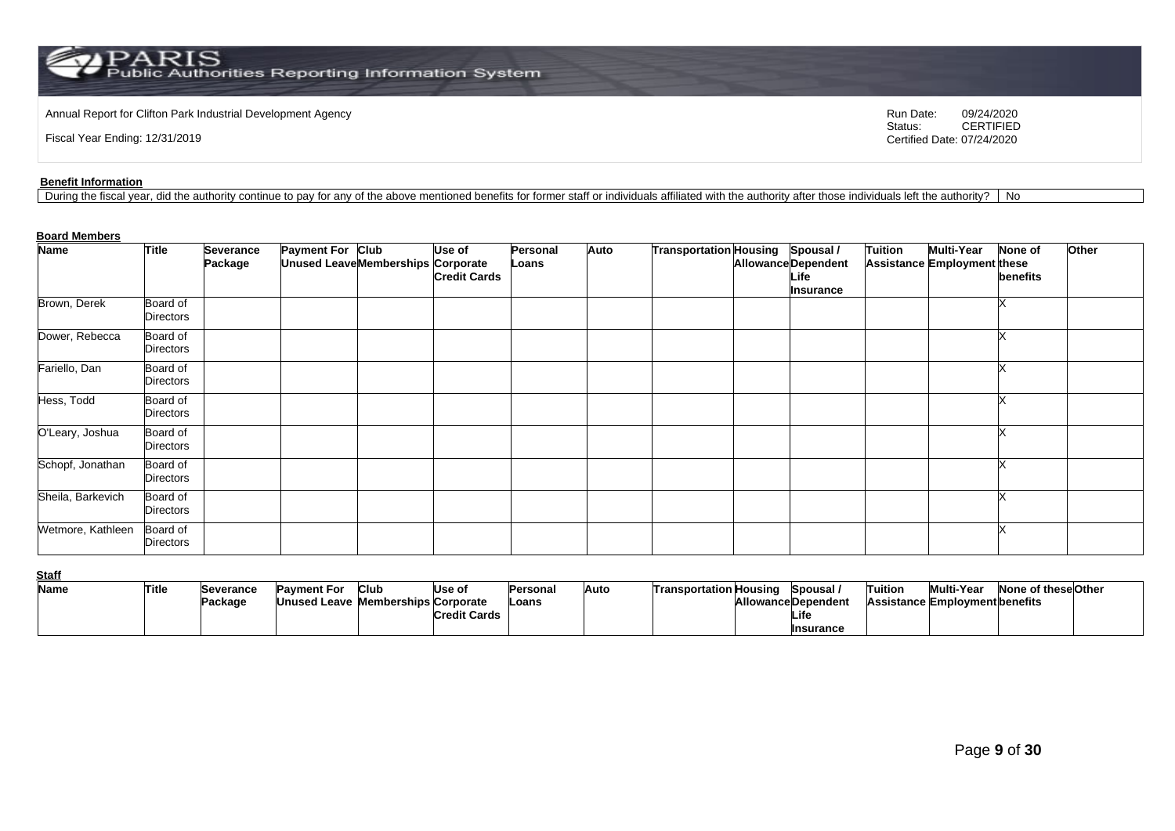Annual Report for Clifton Park Industrial Development Agency<br>
Status: CERTIFIED<br>
CERTIFIED

Fiscal Year Ending: 12/31/2019

CERTIFIED Certified Date: 07/24/2020

#### **Benefit Information**

During the fiscal year, did the authority continue to pay for any of the above mentioned benefits for former staff or individuals affiliated with the authority after those individuals left the authority? | No

#### **Board Members**

| <b>Name</b>       | <b>Title</b>          | <b>Severance</b> | Payment For Club                   | Use of              | Personal | Auto | Transportation Housing Spousal / |                            | <b>Tuition</b> | <b>Multi-Year</b>           | None of  | Other |
|-------------------|-----------------------|------------------|------------------------------------|---------------------|----------|------|----------------------------------|----------------------------|----------------|-----------------------------|----------|-------|
|                   |                       | Package          | Unused Leave Memberships Corporate |                     | Loans    |      |                                  | <b>Allowance Dependent</b> |                | Assistance Employment these |          |       |
|                   |                       |                  |                                    | <b>Credit Cards</b> |          |      |                                  | Life                       |                |                             | benefits |       |
|                   |                       |                  |                                    |                     |          |      |                                  | Insurance                  |                |                             |          |       |
| Brown, Derek      | Board of<br>Directors |                  |                                    |                     |          |      |                                  |                            |                |                             |          |       |
| Dower, Rebecca    | Board of<br>Directors |                  |                                    |                     |          |      |                                  |                            |                |                             |          |       |
| Fariello, Dan     | Board of<br>Directors |                  |                                    |                     |          |      |                                  |                            |                |                             |          |       |
| Hess, Todd        | Board of<br>Directors |                  |                                    |                     |          |      |                                  |                            |                |                             |          |       |
| O'Leary, Joshua   | Board of<br>Directors |                  |                                    |                     |          |      |                                  |                            |                |                             |          |       |
| Schopf, Jonathan  | Board of<br>Directors |                  |                                    |                     |          |      |                                  |                            |                |                             |          |       |
| Sheila, Barkevich | Board of<br>Directors |                  |                                    |                     |          |      |                                  |                            |                |                             |          |       |
| Wetmore, Kathleen | Board of<br>Directors |                  |                                    |                     |          |      |                                  |                            |                |                             |          |       |

**Staff**

| <b>Name</b> | Title | Severance | <b>Payment For</b>                 | <b>Club</b> | Use of              | Personal | Auto | <b>Transportation Housing</b> | Spousal .                 | <b>Tuition</b> | <b>Multi-Year</b>                     | None of these Other |  |
|-------------|-------|-----------|------------------------------------|-------------|---------------------|----------|------|-------------------------------|---------------------------|----------------|---------------------------------------|---------------------|--|
|             |       | Package   | Unused Leave Memberships Corporate |             |                     | Loans    |      |                               | <b>AllowanceDependent</b> |                | <b>Assistance Employment benefits</b> |                     |  |
|             |       |           |                                    |             | <b>Credit Cards</b> |          |      |                               | ∟ife                      |                |                                       |                     |  |
|             |       |           |                                    |             |                     |          |      |                               | Insurance                 |                |                                       |                     |  |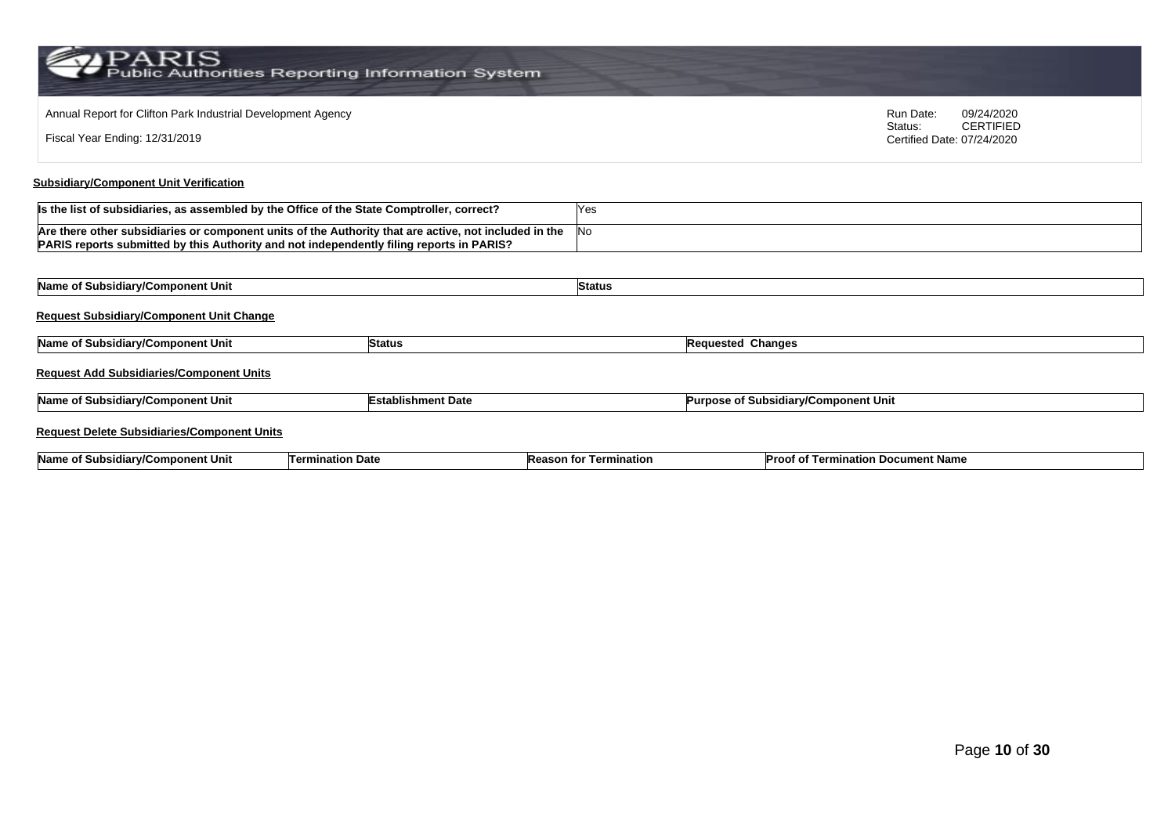| Annual Report for Clifton Park Industrial Development Agency<br>Fiscal Year Ending: 12/31/2019                                                                                                    |                           |               | Run Date:<br>Status:<br>Certified Date: 07/24/2020 | 09/24/2020<br><b>CERTIFIED</b> |  |  |
|---------------------------------------------------------------------------------------------------------------------------------------------------------------------------------------------------|---------------------------|---------------|----------------------------------------------------|--------------------------------|--|--|
| <b>Subsidiary/Component Unit Verification</b>                                                                                                                                                     |                           |               |                                                    |                                |  |  |
| Is the list of subsidiaries, as assembled by the Office of the State Comptroller, correct?                                                                                                        | Yes                       |               |                                                    |                                |  |  |
| Are there other subsidiaries or component units of the Authority that are active, not included in the<br>PARIS reports submitted by this Authority and not independently filing reports in PARIS? | No                        |               |                                                    |                                |  |  |
|                                                                                                                                                                                                   |                           |               |                                                    |                                |  |  |
| Name of Subsidiary/Component Unit                                                                                                                                                                 |                           | <b>Status</b> |                                                    |                                |  |  |
| <b>Request Subsidiary/Component Unit Change</b>                                                                                                                                                   |                           |               |                                                    |                                |  |  |
| Name of Subsidiary/Component Unit                                                                                                                                                                 | <b>Status</b>             |               | <b>Requested Changes</b>                           |                                |  |  |
| <b>Request Add Subsidiaries/Component Units</b>                                                                                                                                                   |                           |               |                                                    |                                |  |  |
| Name of Subsidiary/Component Unit                                                                                                                                                                 | <b>Establishment Date</b> |               | Purpose of Subsidiary/Component Unit               |                                |  |  |
| <b>Request Delete Subsidiaries/Component Units</b>                                                                                                                                                |                           |               |                                                    |                                |  |  |

| Name<br>Date<br>inatior<br>it Unit<br>ll ermi<br>.noner<br>.v/Com<br>sını | Termination<br>aason tor | natior<br>Docum<br>±erm.<br>-root<br>.nu naz |
|---------------------------------------------------------------------------|--------------------------|----------------------------------------------|
|---------------------------------------------------------------------------|--------------------------|----------------------------------------------|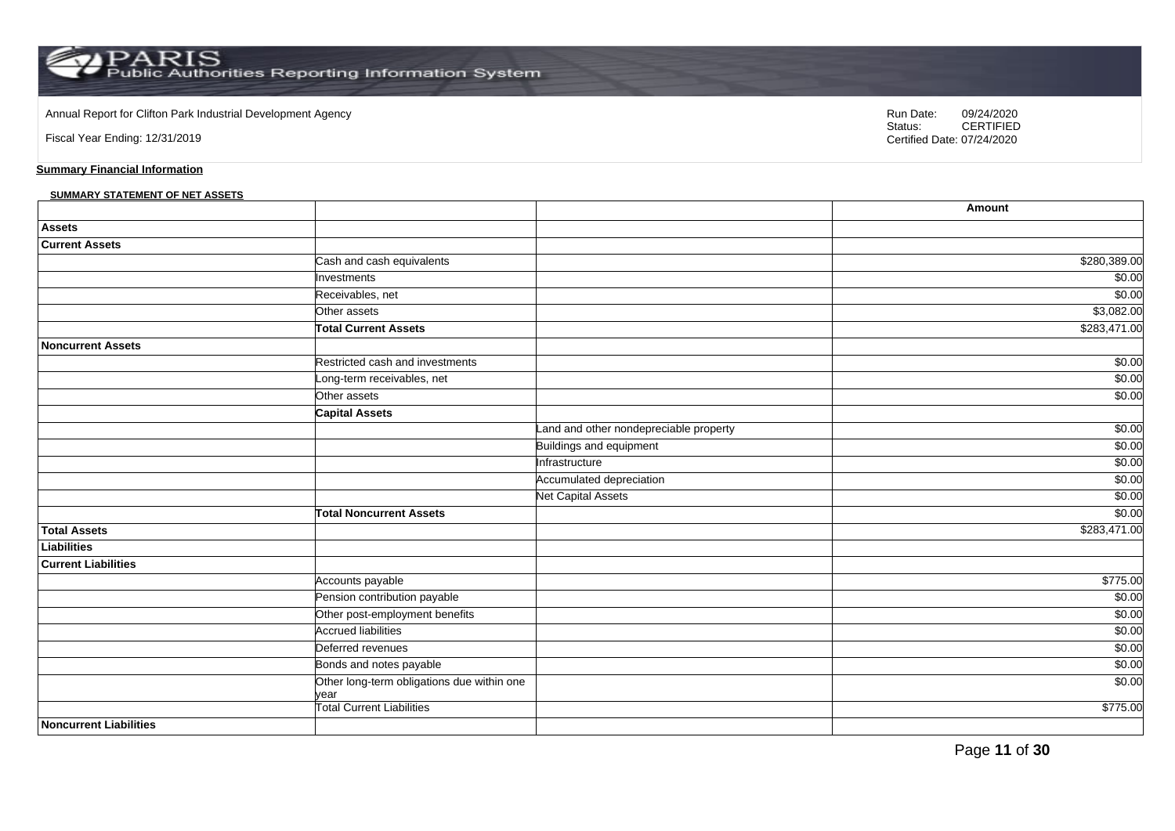Annual Report for Clifton Park Industrial Development Agency<br>
Status: CERTIFIED<br>
CERTIFIED

Fiscal Year Ending: 12/31/2019

CERTIFIED Certified Date: 07/24/2020

### **Summary Financial Information**

#### **SUMMARY STATEMENT OF NET ASSETS**

|                               |                                            |                                        | Amount       |
|-------------------------------|--------------------------------------------|----------------------------------------|--------------|
| <b>Assets</b>                 |                                            |                                        |              |
| <b>Current Assets</b>         |                                            |                                        |              |
|                               | Cash and cash equivalents                  |                                        | \$280,389.00 |
|                               | Investments                                |                                        | \$0.00       |
|                               | Receivables, net                           |                                        | \$0.00       |
|                               | Other assets                               |                                        | \$3,082.00   |
|                               | <b>Total Current Assets</b>                |                                        | \$283,471.00 |
| <b>Noncurrent Assets</b>      |                                            |                                        |              |
|                               | Restricted cash and investments            |                                        | \$0.00       |
|                               | ong-term receivables, net                  |                                        | \$0.00       |
|                               | Other assets                               |                                        | \$0.00       |
|                               | <b>Capital Assets</b>                      |                                        |              |
|                               |                                            | Land and other nondepreciable property | \$0.00       |
|                               |                                            | <b>Buildings and equipment</b>         | \$0.00       |
|                               |                                            | Infrastructure                         | \$0.00       |
|                               |                                            | Accumulated depreciation               | \$0.00       |
|                               |                                            | <b>Net Capital Assets</b>              | \$0.00       |
|                               | <b>Total Noncurrent Assets</b>             |                                        | \$0.00       |
| <b>Total Assets</b>           |                                            |                                        | \$283,471.00 |
| Liabilities                   |                                            |                                        |              |
| <b>Current Liabilities</b>    |                                            |                                        |              |
|                               | Accounts payable                           |                                        | \$775.00     |
|                               | Pension contribution payable               |                                        | \$0.00       |
|                               | Other post-employment benefits             |                                        | \$0.00       |
|                               | <b>Accrued liabilities</b>                 |                                        | \$0.00       |
|                               | Deferred revenues                          |                                        | \$0.00       |
|                               | Bonds and notes payable                    |                                        | \$0.00       |
|                               | Other long-term obligations due within one |                                        | \$0.00       |
|                               | vear<br>Total Current Liabilities          |                                        | \$775.00     |
| <b>Noncurrent Liabilities</b> |                                            |                                        |              |
|                               |                                            |                                        |              |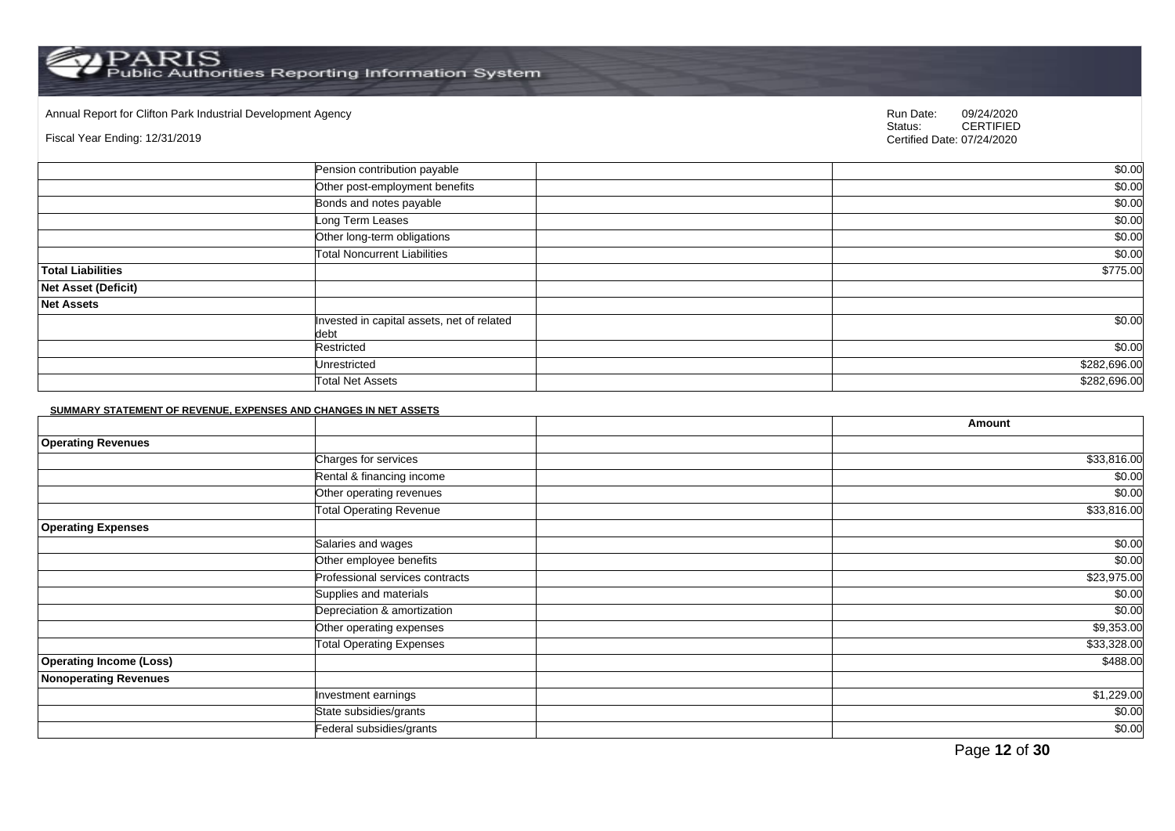Annual Report for Clifton Park Industrial Development Agency<br>
Status: CERTIFIED

#### Fiscal Year Ending: 12/31/2019

CERTIFIED Certified Date: 07/24/2020

|                            | Pension contribution payable                       | \$0.00               |
|----------------------------|----------------------------------------------------|----------------------|
|                            | Other post-employment benefits                     | \$0.00               |
|                            | Bonds and notes payable                            | \$0.00               |
|                            | Long Term Leases                                   | \$0.00               |
|                            | Other long-term obligations                        | \$0.00               |
|                            | <b>Total Noncurrent Liabilities</b>                | \$0.00               |
| <b>Total Liabilities</b>   |                                                    | $\overline{$775.00}$ |
| <b>Net Asset (Deficit)</b> |                                                    |                      |
| <b>Net Assets</b>          |                                                    |                      |
|                            | Invested in capital assets, net of related<br>debt | \$0.00               |
|                            | Restricted                                         | \$0.00               |
|                            | Unrestricted                                       | \$282,696.00         |
|                            | <b>Total Net Assets</b>                            | \$282,696.00         |

#### **SUMMARY STATEMENT OF REVENUE, EXPENSES AND CHANGES IN NET ASSETS**

|                                |                                 | Amount      |
|--------------------------------|---------------------------------|-------------|
| <b>Operating Revenues</b>      |                                 |             |
|                                | Charges for services            | \$33,816.00 |
|                                | Rental & financing income       | \$0.00      |
|                                | Other operating revenues        | \$0.00      |
|                                | <b>Total Operating Revenue</b>  | \$33,816.00 |
| <b>Operating Expenses</b>      |                                 |             |
|                                | Salaries and wages              | \$0.00      |
|                                | Other employee benefits         | \$0.00      |
|                                | Professional services contracts | \$23,975.00 |
|                                | Supplies and materials          | \$0.00      |
|                                | Depreciation & amortization     | \$0.00      |
|                                | Other operating expenses        | \$9,353.00  |
|                                | <b>Total Operating Expenses</b> | \$33,328.00 |
| <b>Operating Income (Loss)</b> |                                 | \$488.00    |
| <b>Nonoperating Revenues</b>   |                                 |             |
|                                | Investment earnings             | \$1,229.00  |
|                                | State subsidies/grants          | \$0.00      |
|                                | Federal subsidies/grants        | \$0.00      |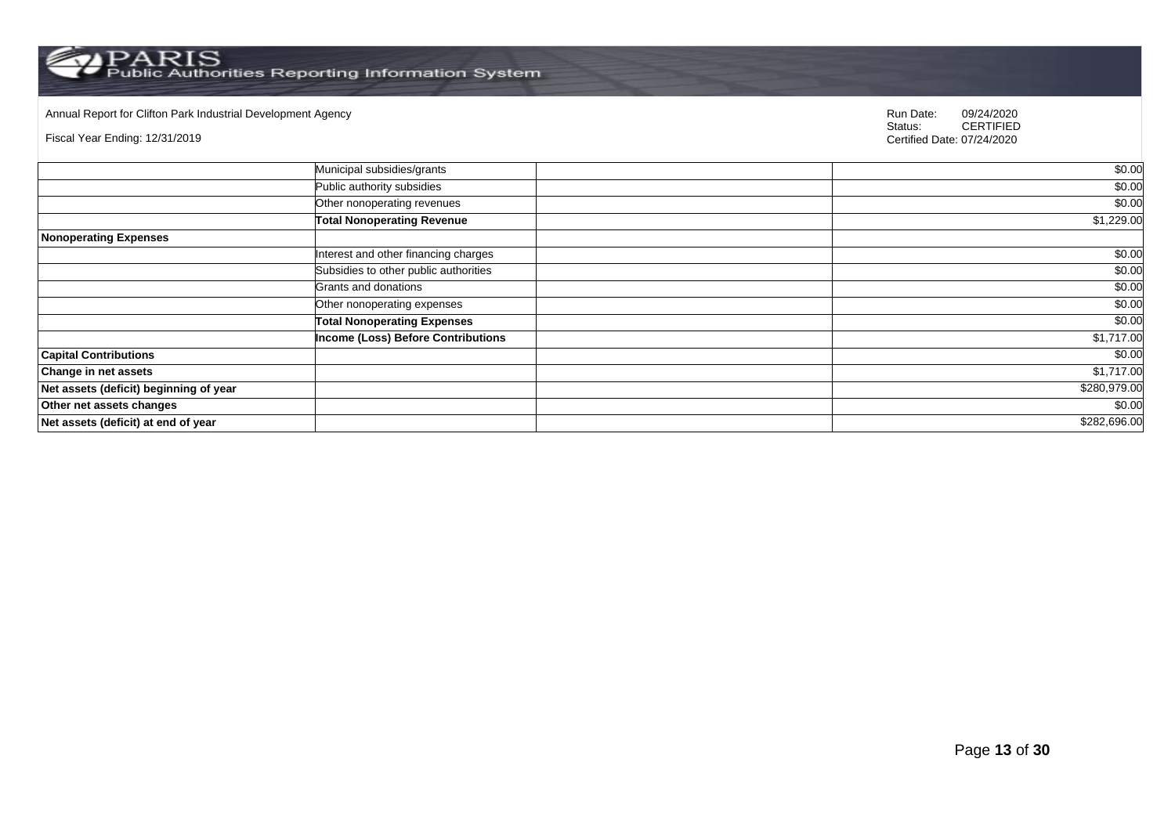Annual Report for Clifton Park Industrial Development Agency<br>
Status: CERTIFIED

Fiscal Year Ending: 12/31/2019

|                                        | Municipal subsidies/grants                | \$0.00       |
|----------------------------------------|-------------------------------------------|--------------|
|                                        | Public authority subsidies                | \$0.00       |
|                                        | Other nonoperating revenues               | \$0.00       |
|                                        | <b>Total Nonoperating Revenue</b>         | \$1,229.00   |
| <b>Nonoperating Expenses</b>           |                                           |              |
|                                        | Interest and other financing charges      | \$0.00       |
|                                        | Subsidies to other public authorities     | \$0.00       |
|                                        | Grants and donations                      | \$0.00       |
|                                        | Other nonoperating expenses               | \$0.00       |
|                                        | <b>Total Nonoperating Expenses</b>        | \$0.00       |
|                                        | <b>Income (Loss) Before Contributions</b> | \$1,717.00   |
| <b>Capital Contributions</b>           |                                           | \$0.00       |
| <b>Change in net assets</b>            |                                           | \$1,717.00   |
| Net assets (deficit) beginning of year |                                           | \$280,979.00 |
| Other net assets changes               |                                           | \$0.00       |
| Net assets (deficit) at end of year    |                                           | \$282,696.00 |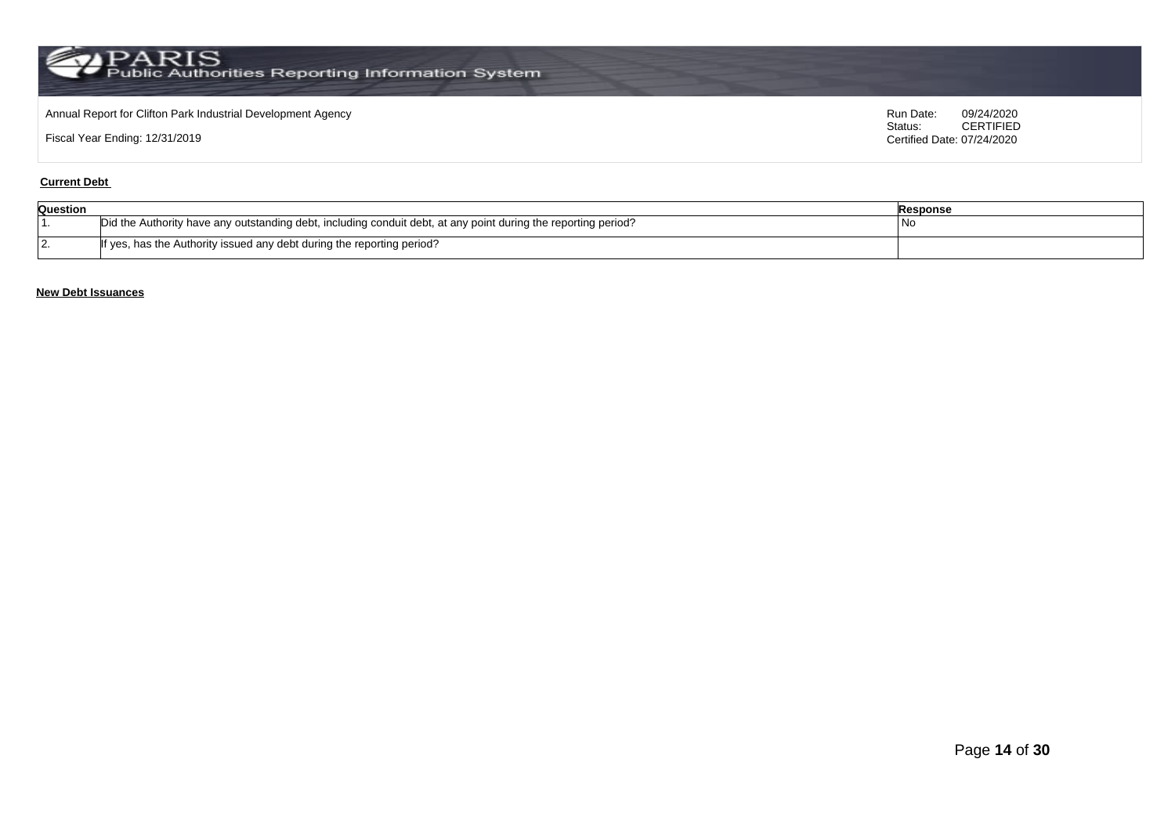### Annual Report for Clifton Park Industrial Development Agency<br>
Status: CERTIFIED<br>
CERTIFIED

Fiscal Year Ending: 12/31/2019

CERTIFIED Certified Date: 07/24/2020

#### **Current Debt**

| Question |                                                                                                                | <b>Response</b> |
|----------|----------------------------------------------------------------------------------------------------------------|-----------------|
|          | Did the Authority have any outstanding debt, including conduit debt, at any point during the reporting period? | - I NC          |
| $\sim$   | If yes, has the Authority issued any debt during the reporting period?                                         |                 |

### **New Debt Issuances**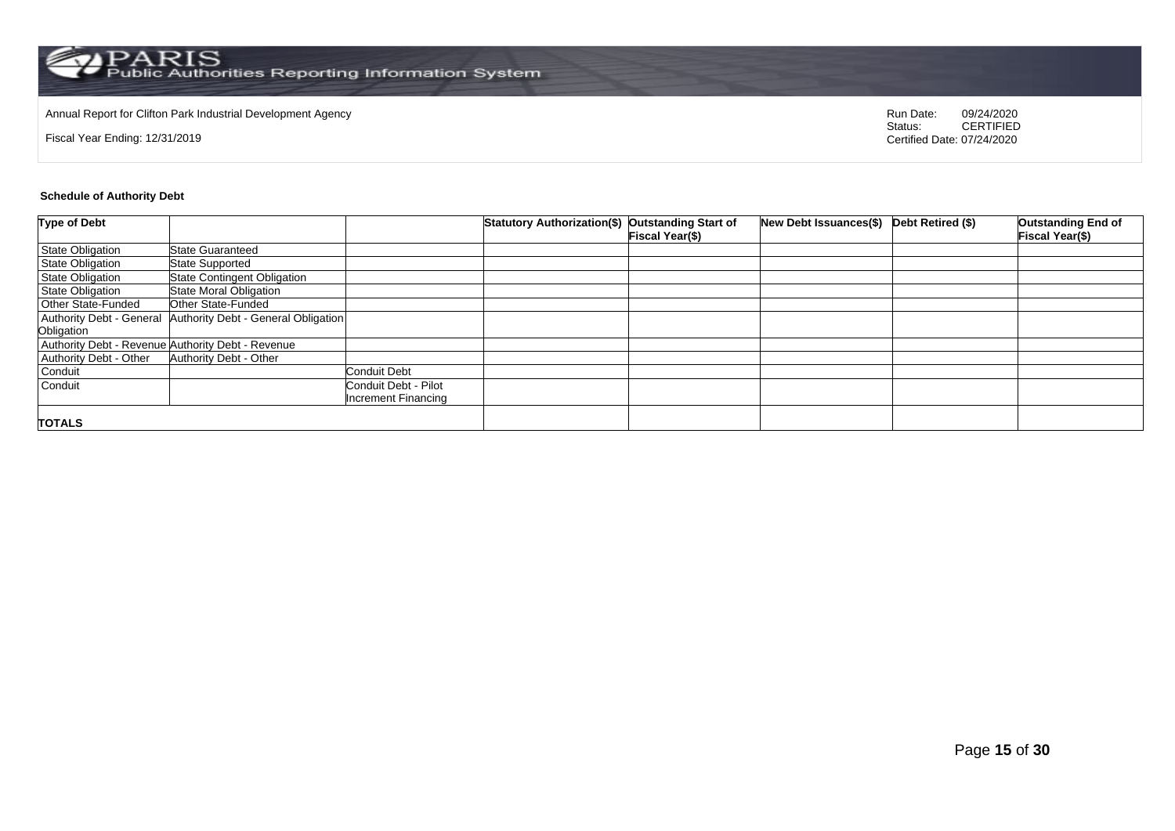### Annual Report for Clifton Park Industrial Development Agency<br>
Status: CERTIFIED<br>
CERTIFIED

Fiscal Year Ending: 12/31/2019

CERTIFIED Certified Date: 07/24/2020

#### **Schedule of Authority Debt**

| <b>Type of Debt</b>       |                                                   |                      | Statutory Authorization(\$) Outstanding Start of |                 | New Debt Issuances(\$) Debt Retired (\$) | <b>Outstanding End of</b> |
|---------------------------|---------------------------------------------------|----------------------|--------------------------------------------------|-----------------|------------------------------------------|---------------------------|
|                           |                                                   |                      |                                                  | Fiscal Year(\$) |                                          | Fiscal Year(\$)           |
| State Obligation          | <b>State Guaranteed</b>                           |                      |                                                  |                 |                                          |                           |
| <b>State Obligation</b>   | <b>State Supported</b>                            |                      |                                                  |                 |                                          |                           |
| <b>State Obligation</b>   | <b>State Contingent Obligation</b>                |                      |                                                  |                 |                                          |                           |
| <b>State Obligation</b>   | <b>State Moral Obligation</b>                     |                      |                                                  |                 |                                          |                           |
| <b>Other State-Funded</b> | Other State-Funded                                |                      |                                                  |                 |                                          |                           |
| Authority Debt - General  | Authority Debt - General Obligation               |                      |                                                  |                 |                                          |                           |
| Obligation                |                                                   |                      |                                                  |                 |                                          |                           |
|                           | Authority Debt - Revenue Authority Debt - Revenue |                      |                                                  |                 |                                          |                           |
| Authority Debt - Other    | <b>Authority Debt - Other</b>                     |                      |                                                  |                 |                                          |                           |
| Conduit                   |                                                   | <b>Conduit Debt</b>  |                                                  |                 |                                          |                           |
| Conduit                   |                                                   | Conduit Debt - Pilot |                                                  |                 |                                          |                           |
|                           |                                                   | Increment Financing  |                                                  |                 |                                          |                           |
|                           |                                                   |                      |                                                  |                 |                                          |                           |
| <b>TOTALS</b>             |                                                   |                      |                                                  |                 |                                          |                           |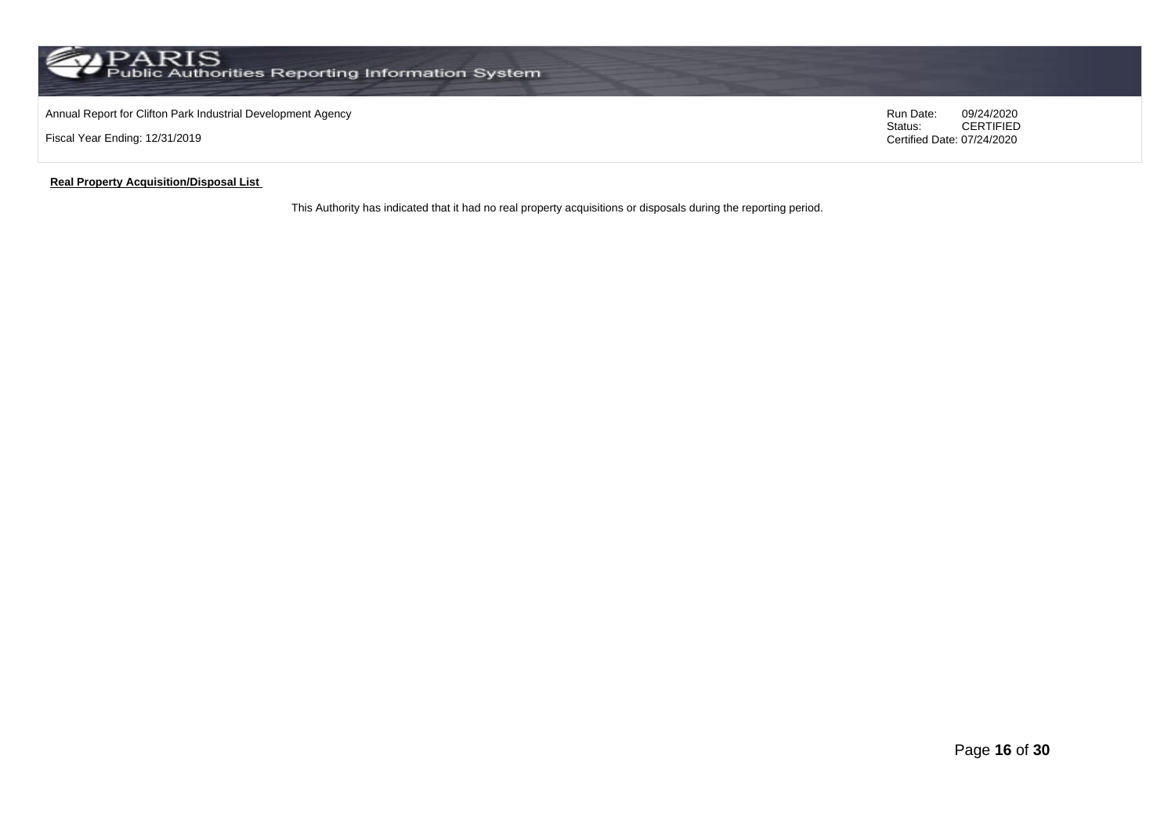

### Annual Report for Clifton Park Industrial Development Agency<br>
Status: CERTIFIED<br>
CERTIFIED

Fiscal Year Ending: 12/31/2019

CERTIFIED Certified Date: 07/24/2020

#### **Real Property Acquisition/Disposal List**

This Authority has indicated that it had no real property acquisitions or disposals during the reporting period.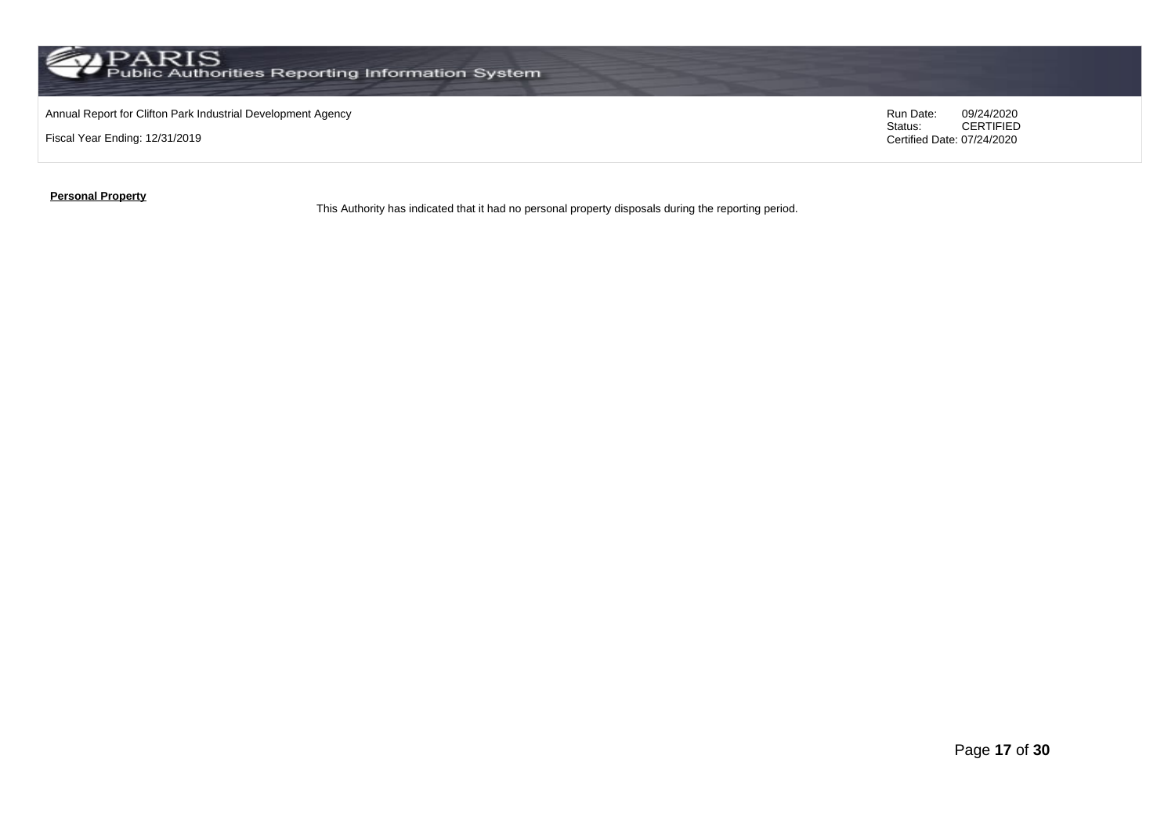

Annual Report for Clifton Park Industrial Development Agency<br>
Status: CERTIFIED<br>
CERTIFIED

Fiscal Year Ending: 12/31/2019

CERTIFIED Certified Date: 07/24/2020

**Personal Property**

This Authority has indicated that it had no personal property disposals during the reporting period.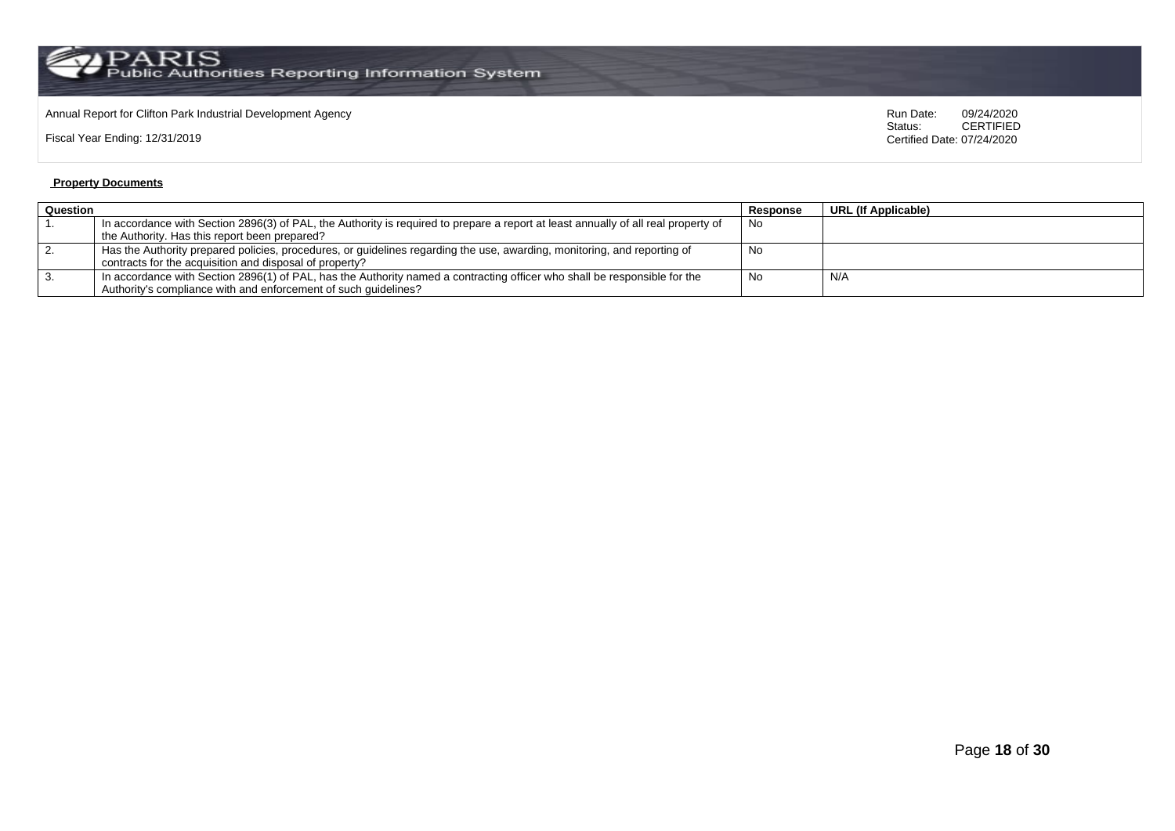# Annual Report for Clifton Park Industrial Development Agency<br>
Status: CERTIFIED

Fiscal Year Ending: 12/31/2019

CERTIFIED Certified Date: 07/24/2020

#### **Property Documents**

| Question |                                                                                                                                    |    | URL (If Applicable) |
|----------|------------------------------------------------------------------------------------------------------------------------------------|----|---------------------|
|          | In accordance with Section 2896(3) of PAL, the Authority is required to prepare a report at least annually of all real property of | No |                     |
|          | the Authority. Has this report been prepared?                                                                                      |    |                     |
|          | Has the Authority prepared policies, procedures, or guidelines regarding the use, awarding, monitoring, and reporting of           | No |                     |
|          | contracts for the acquisition and disposal of property?                                                                            |    |                     |
| - 3.     | In accordance with Section 2896(1) of PAL, has the Authority named a contracting officer who shall be responsible for the          | No | N/A                 |
|          | Authority's compliance with and enforcement of such quidelines?                                                                    |    |                     |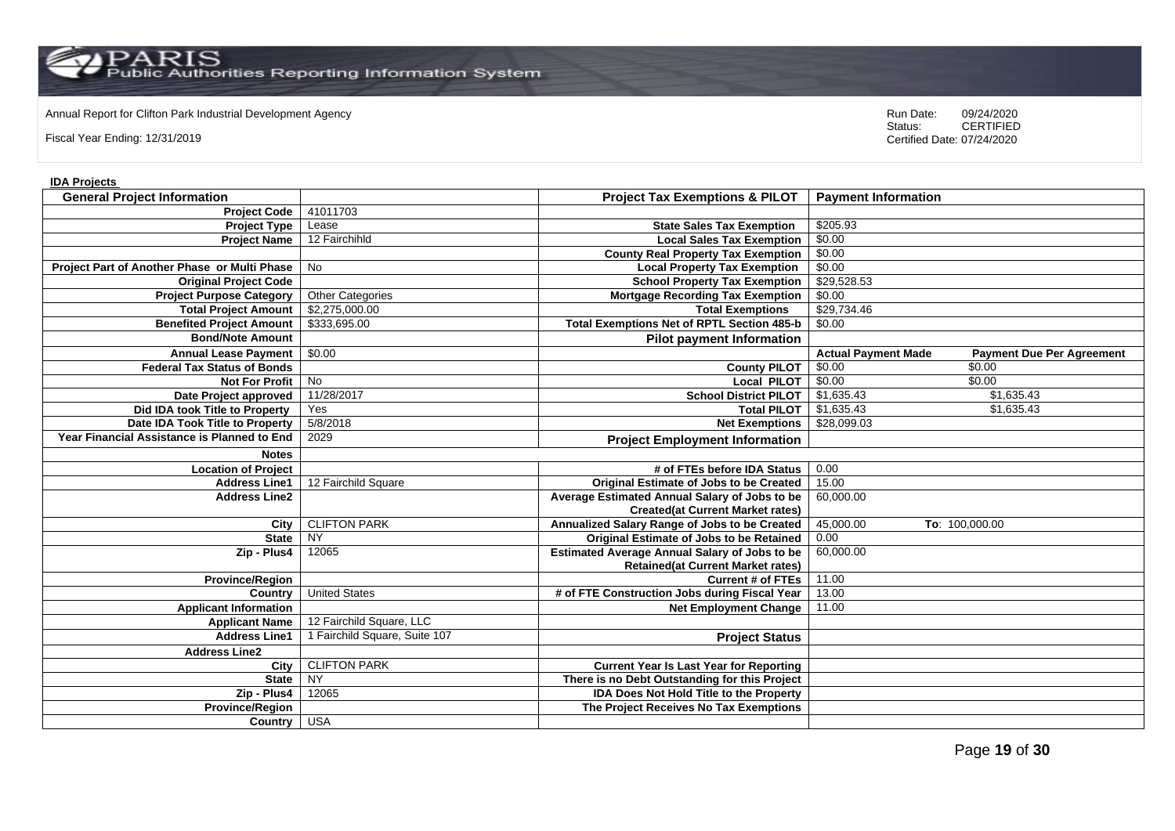# Annual Report for Clifton Park Industrial Development Agency<br>
Status: CERTIFIED

Fiscal Year Ending: 12/31/2019

CERTIFIED Certified Date: 07/24/2020

#### **IDA Projects**

| <b>General Project Information</b>           |                               | <b>Project Tax Exemptions &amp; PILOT</b>            | <b>Payment Information</b>                                     |
|----------------------------------------------|-------------------------------|------------------------------------------------------|----------------------------------------------------------------|
| <b>Project Code</b>                          | 41011703                      |                                                      |                                                                |
| <b>Project Type</b>                          | Lease                         | <b>State Sales Tax Exemption</b>                     | \$205.93                                                       |
| <b>Project Name</b>                          | 12 Fairchihld                 | <b>Local Sales Tax Exemption</b>                     | \$0.00                                                         |
|                                              |                               | <b>County Real Property Tax Exemption</b>            | \$0.00                                                         |
| Project Part of Another Phase or Multi Phase | <b>No</b>                     | <b>Local Property Tax Exemption</b>                  | \$0.00                                                         |
| <b>Original Project Code</b>                 |                               | <b>School Property Tax Exemption</b>                 | \$29,528.53                                                    |
| <b>Project Purpose Category</b>              | <b>Other Categories</b>       | <b>Mortgage Recording Tax Exemption</b>              | \$0.00                                                         |
| <b>Total Project Amount</b>                  | \$2,275,000.00                | <b>Total Exemptions</b>                              | \$29,734.46                                                    |
| <b>Benefited Project Amount</b>              | \$333,695.00                  | <b>Total Exemptions Net of RPTL Section 485-b</b>    | \$0.00                                                         |
| <b>Bond/Note Amount</b>                      |                               | <b>Pilot payment Information</b>                     |                                                                |
| <b>Annual Lease Payment</b>                  | \$0.00                        |                                                      | <b>Actual Payment Made</b><br><b>Payment Due Per Agreement</b> |
| <b>Federal Tax Status of Bonds</b>           |                               | <b>County PILOT</b>                                  | \$0.00<br>\$0.00                                               |
| <b>Not For Profit</b>                        | $\overline{N}$                | <b>Local PILOT</b>                                   | \$0.00<br>\$0.00                                               |
| Date Project approved                        | 11/28/2017                    | <b>School District PILOT</b>                         | \$1,635.43<br>\$1,635.43                                       |
| Did IDA took Title to Property               | Yes                           | <b>Total PILOT</b>                                   | \$1,635.43<br>\$1,635.43                                       |
| Date IDA Took Title to Property              | 5/8/2018                      | <b>Net Exemptions</b>                                | \$28,099.03                                                    |
| Year Financial Assistance is Planned to End  | 2029                          | <b>Project Employment Information</b>                |                                                                |
| <b>Notes</b>                                 |                               |                                                      |                                                                |
| <b>Location of Project</b>                   |                               | # of FTEs before IDA Status                          | 0.00                                                           |
| <b>Address Line1</b>                         | 12 Fairchild Square           | Original Estimate of Jobs to be Created              | 15.00                                                          |
| <b>Address Line2</b>                         |                               | Average Estimated Annual Salary of Jobs to be        | 60,000.00                                                      |
|                                              |                               | <b>Created(at Current Market rates)</b>              |                                                                |
| City                                         | <b>CLIFTON PARK</b>           | Annualized Salary Range of Jobs to be Created        | 45,000.00<br>To: 100,000.00                                    |
| <b>State</b>                                 | <b>NY</b>                     | Original Estimate of Jobs to be Retained             | 0.00                                                           |
| Zip - Plus4                                  | 12065                         | <b>Estimated Average Annual Salary of Jobs to be</b> | 60,000.00                                                      |
|                                              |                               | <b>Retained(at Current Market rates)</b>             |                                                                |
| <b>Province/Region</b>                       |                               | <b>Current # of FTEs</b>                             | 11.00                                                          |
| Country                                      | <b>United States</b>          | # of FTE Construction Jobs during Fiscal Year        | 13.00                                                          |
| <b>Applicant Information</b>                 |                               | <b>Net Employment Change</b>                         | 11.00                                                          |
| <b>Applicant Name</b>                        | 12 Fairchild Square, LLC      |                                                      |                                                                |
| <b>Address Line1</b>                         | 1 Fairchild Square, Suite 107 | <b>Project Status</b>                                |                                                                |
| <b>Address Line2</b>                         |                               |                                                      |                                                                |
| City                                         | <b>CLIFTON PARK</b>           | <b>Current Year Is Last Year for Reporting</b>       |                                                                |
| <b>State</b>                                 | $\overline{N}$                | There is no Debt Outstanding for this Project        |                                                                |
| Zip - Plus4                                  | 12065                         | <b>IDA Does Not Hold Title to the Property</b>       |                                                                |
| <b>Province/Region</b>                       |                               | The Project Receives No Tax Exemptions               |                                                                |
| Country USA                                  |                               |                                                      |                                                                |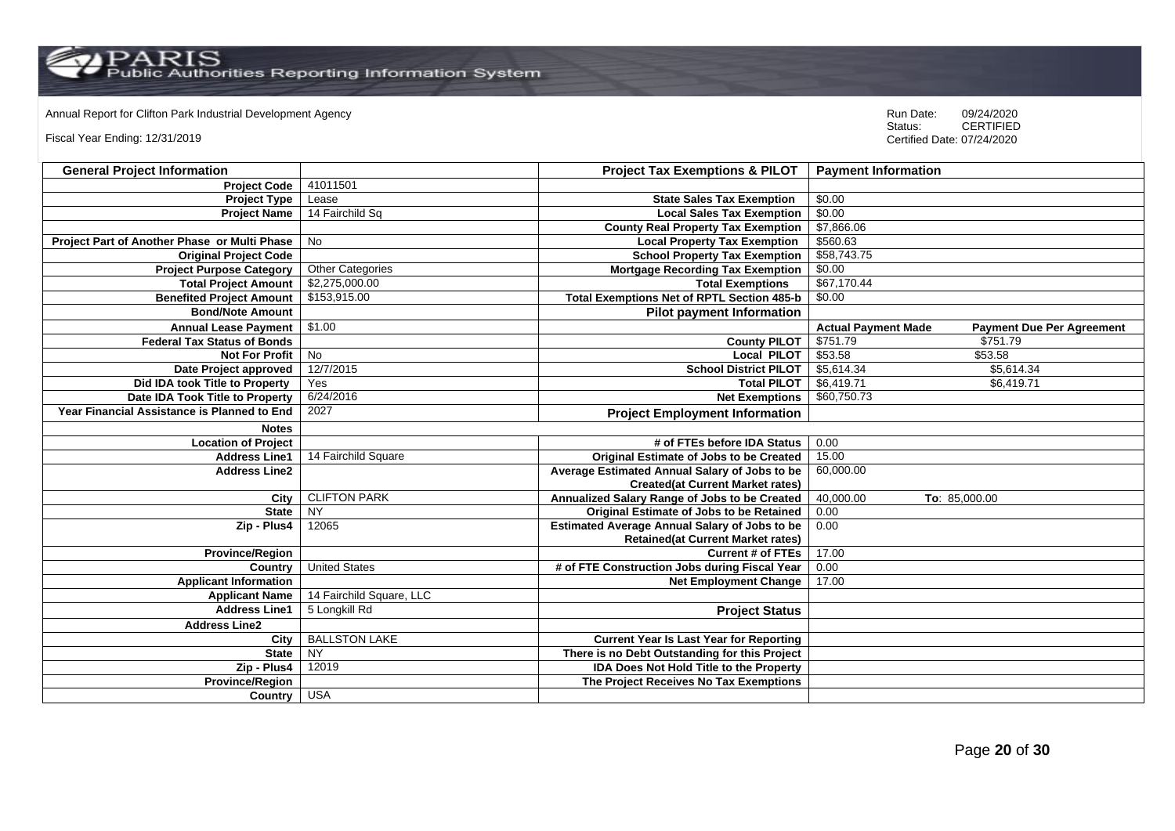Annual Report for Clifton Park Industrial Development Agency<br>
Status: CERTIFIED

Fiscal Year Ending: 12/31/2019

| <b>General Project Information</b>           |                          | <b>Project Tax Exemptions &amp; PILOT</b>            | <b>Payment Information</b>                                     |
|----------------------------------------------|--------------------------|------------------------------------------------------|----------------------------------------------------------------|
| <b>Project Code</b>                          | 41011501                 |                                                      |                                                                |
| <b>Project Type</b>                          | Lease                    | <b>State Sales Tax Exemption</b>                     | \$0.00                                                         |
| <b>Project Name</b>                          | 14 Fairchild Sq          | <b>Local Sales Tax Exemption</b>                     | \$0.00                                                         |
|                                              |                          | <b>County Real Property Tax Exemption</b>            | \$7,866.06                                                     |
| Project Part of Another Phase or Multi Phase | No                       | <b>Local Property Tax Exemption</b>                  | \$560.63                                                       |
| <b>Original Project Code</b>                 |                          | <b>School Property Tax Exemption</b>                 | \$58,743.75                                                    |
| <b>Project Purpose Category</b>              | <b>Other Categories</b>  | <b>Mortgage Recording Tax Exemption</b>              | \$0.00                                                         |
| <b>Total Project Amount</b>                  | \$2,275,000.00           | <b>Total Exemptions</b>                              | \$67,170.44                                                    |
| <b>Benefited Project Amount</b>              | \$153,915.00             | <b>Total Exemptions Net of RPTL Section 485-b</b>    | \$0.00                                                         |
| <b>Bond/Note Amount</b>                      |                          | <b>Pilot payment Information</b>                     |                                                                |
| <b>Annual Lease Payment</b>                  | \$1.00                   |                                                      | <b>Actual Payment Made</b><br><b>Payment Due Per Agreement</b> |
| <b>Federal Tax Status of Bonds</b>           |                          | <b>County PILOT</b>                                  | \$751.79<br>\$751.79                                           |
| <b>Not For Profit</b>                        | No                       | Local PILOT                                          | \$53.58<br>\$53.58                                             |
| Date Project approved                        | 12/7/2015                | <b>School District PILOT</b>                         | \$5,614.34<br>\$5,614.34                                       |
| Did IDA took Title to Property               | Yes                      | <b>Total PILOT</b>                                   | \$6,419.71<br>\$6,419.71                                       |
| Date IDA Took Title to Property              | 6/24/2016                | <b>Net Exemptions</b>                                | \$60,750.73                                                    |
| Year Financial Assistance is Planned to End  | 2027                     | <b>Project Employment Information</b>                |                                                                |
| <b>Notes</b>                                 |                          |                                                      |                                                                |
| <b>Location of Project</b>                   |                          | # of FTEs before IDA Status                          | 0.00                                                           |
| <b>Address Line1</b>                         | 14 Fairchild Square      | <b>Original Estimate of Jobs to be Created</b>       | 15.00                                                          |
| <b>Address Line2</b>                         |                          | Average Estimated Annual Salary of Jobs to be        | 60,000.00                                                      |
|                                              |                          | <b>Created(at Current Market rates)</b>              |                                                                |
| City                                         | <b>CLIFTON PARK</b>      | Annualized Salary Range of Jobs to be Created        | 40,000.00<br>To: 85,000.00                                     |
| <b>State</b>                                 | <b>NY</b>                | Original Estimate of Jobs to be Retained             | 0.00                                                           |
| Zip - Plus4                                  | 12065                    | <b>Estimated Average Annual Salary of Jobs to be</b> | 0.00                                                           |
|                                              |                          | <b>Retained(at Current Market rates)</b>             |                                                                |
| <b>Province/Region</b>                       |                          | <b>Current # of FTEs</b>                             | 17.00                                                          |
| Country                                      | <b>United States</b>     | # of FTE Construction Jobs during Fiscal Year        | 0.00                                                           |
| <b>Applicant Information</b>                 |                          | <b>Net Employment Change</b>                         | 17.00                                                          |
| <b>Applicant Name</b>                        | 14 Fairchild Square, LLC |                                                      |                                                                |
| <b>Address Line1</b>                         | 5 Longkill Rd            | <b>Project Status</b>                                |                                                                |
| <b>Address Line2</b>                         |                          |                                                      |                                                                |
| City                                         | <b>BALLSTON LAKE</b>     | <b>Current Year Is Last Year for Reporting</b>       |                                                                |
| <b>State</b>                                 | $\overline{NY}$          | There is no Debt Outstanding for this Project        |                                                                |
| Zip - Plus4                                  | 12019                    | <b>IDA Does Not Hold Title to the Property</b>       |                                                                |
| <b>Province/Region</b>                       |                          | The Project Receives No Tax Exemptions               |                                                                |
| Country USA                                  |                          |                                                      |                                                                |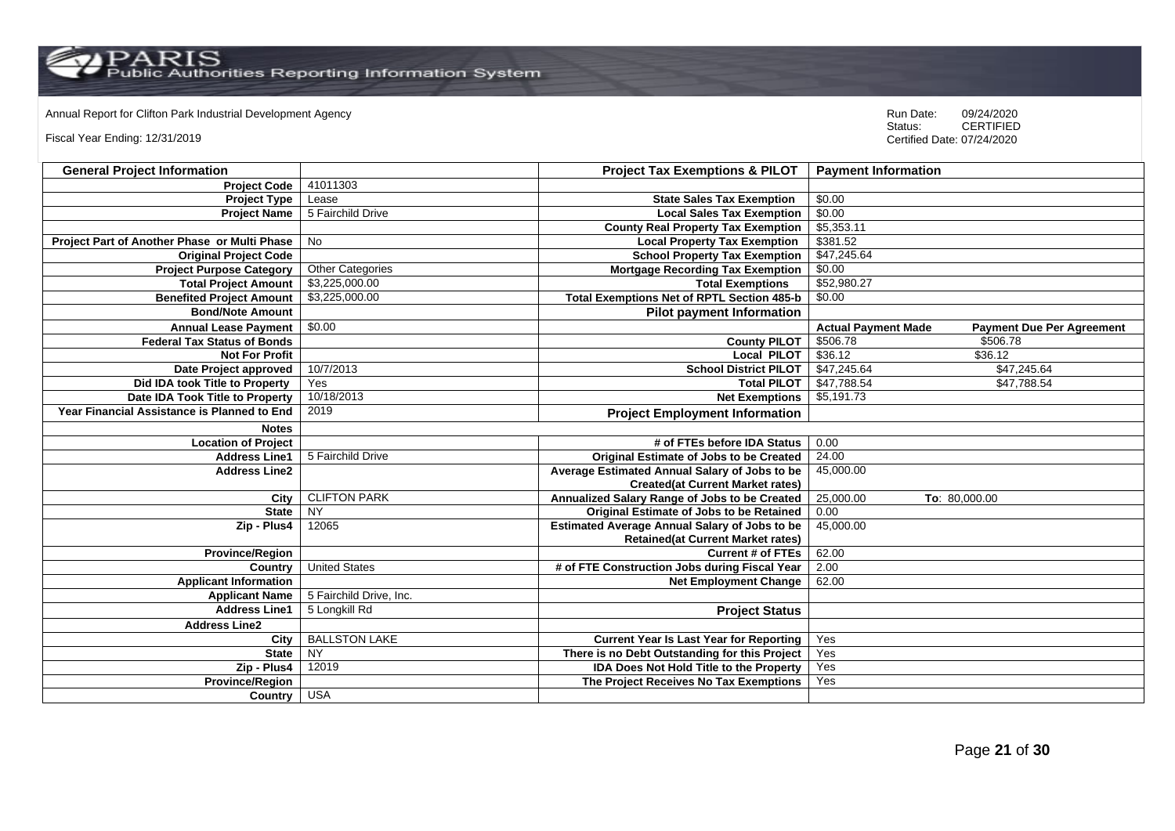Annual Report for Clifton Park Industrial Development Agency<br>
Status: CERTIFIED

Fiscal Year Ending: 12/31/2019

| <b>General Project Information</b>           |                         | <b>Project Tax Exemptions &amp; PILOT</b>            | <b>Payment Information</b>                                     |
|----------------------------------------------|-------------------------|------------------------------------------------------|----------------------------------------------------------------|
| <b>Project Code</b>                          | 41011303                |                                                      |                                                                |
| <b>Project Type</b>                          | Lease                   | <b>State Sales Tax Exemption</b>                     | \$0.00                                                         |
| <b>Project Name</b>                          | 5 Fairchild Drive       | <b>Local Sales Tax Exemption</b>                     | \$0.00                                                         |
|                                              |                         | <b>County Real Property Tax Exemption</b>            | \$5,353.11                                                     |
| Project Part of Another Phase or Multi Phase | No                      | <b>Local Property Tax Exemption</b>                  | \$381.52                                                       |
| <b>Original Project Code</b>                 |                         | <b>School Property Tax Exemption</b>                 | \$47,245.64                                                    |
| <b>Project Purpose Category</b>              | <b>Other Categories</b> | <b>Mortgage Recording Tax Exemption</b>              | \$0.00                                                         |
| <b>Total Project Amount</b>                  | \$3,225,000.00          | <b>Total Exemptions</b>                              | \$52,980.27                                                    |
| <b>Benefited Project Amount</b>              | \$3,225,000.00          | <b>Total Exemptions Net of RPTL Section 485-b</b>    | \$0.00                                                         |
| <b>Bond/Note Amount</b>                      |                         | <b>Pilot payment Information</b>                     |                                                                |
| <b>Annual Lease Payment</b>                  | \$0.00                  |                                                      | <b>Actual Payment Made</b><br><b>Payment Due Per Agreement</b> |
| <b>Federal Tax Status of Bonds</b>           |                         | <b>County PILOT</b>                                  | \$506.78<br>\$506.78                                           |
| <b>Not For Profit</b>                        |                         | Local PILOT                                          | \$36.12<br>\$36.12                                             |
| Date Project approved                        | 10/7/2013               | <b>School District PILOT</b>                         | \$47,245.64<br>\$47,245.64                                     |
| Did IDA took Title to Property               | Yes                     | <b>Total PILOT</b>                                   | \$47,788.54<br>\$47,788.54                                     |
| Date IDA Took Title to Property              | 10/18/2013              | <b>Net Exemptions</b>                                | \$5,191.73                                                     |
| Year Financial Assistance is Planned to End  | 2019                    | <b>Project Employment Information</b>                |                                                                |
| <b>Notes</b>                                 |                         |                                                      |                                                                |
| <b>Location of Project</b>                   |                         | # of FTEs before IDA Status                          | 0.00                                                           |
| <b>Address Line1</b>                         | 5 Fairchild Drive       | <b>Original Estimate of Jobs to be Created</b>       | 24.00                                                          |
| <b>Address Line2</b>                         |                         | Average Estimated Annual Salary of Jobs to be        | 45,000.00                                                      |
|                                              |                         | <b>Created(at Current Market rates)</b>              |                                                                |
| City                                         | <b>CLIFTON PARK</b>     | Annualized Salary Range of Jobs to be Created        | 25,000.00<br>To: 80,000.00                                     |
| <b>State</b>                                 | <b>NY</b>               | Original Estimate of Jobs to be Retained             | 0.00                                                           |
| Zip - Plus4                                  | 12065                   | <b>Estimated Average Annual Salary of Jobs to be</b> | 45,000.00                                                      |
|                                              |                         | <b>Retained(at Current Market rates)</b>             |                                                                |
| <b>Province/Region</b>                       |                         | <b>Current # of FTEs</b>                             | 62.00                                                          |
| Country                                      | <b>United States</b>    | # of FTE Construction Jobs during Fiscal Year        | 2.00                                                           |
| <b>Applicant Information</b>                 |                         | <b>Net Employment Change</b>                         | 62.00                                                          |
| <b>Applicant Name</b>                        | 5 Fairchild Drive, Inc. |                                                      |                                                                |
| <b>Address Line1</b>                         | 5 Longkill Rd           | <b>Project Status</b>                                |                                                                |
| <b>Address Line2</b>                         |                         |                                                      |                                                                |
| City                                         | <b>BALLSTON LAKE</b>    | <b>Current Year Is Last Year for Reporting</b>       | Yes                                                            |
| <b>State</b>                                 | $\overline{NY}$         | There is no Debt Outstanding for this Project        | Yes                                                            |
| Zip - Plus4                                  | 12019                   | <b>IDA Does Not Hold Title to the Property</b>       | Yes                                                            |
| <b>Province/Region</b>                       |                         | The Project Receives No Tax Exemptions               | Yes                                                            |
| Country USA                                  |                         |                                                      |                                                                |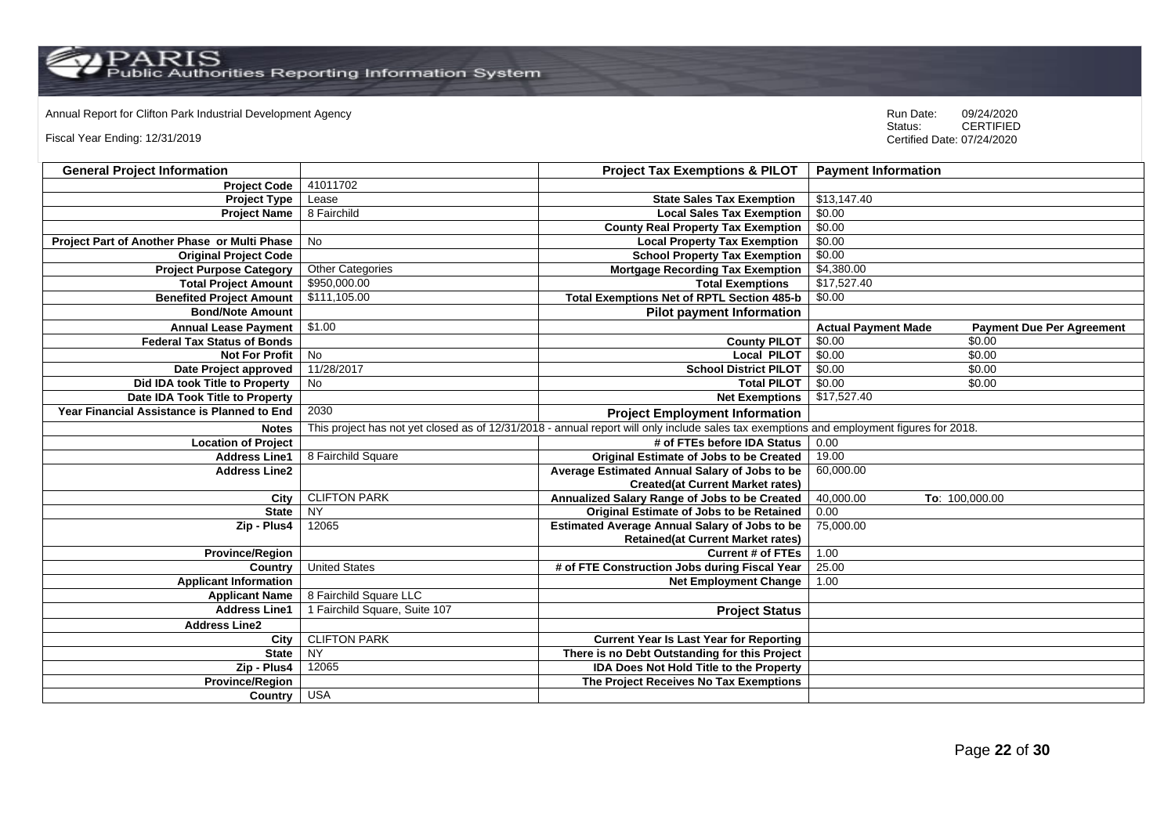Annual Report for Clifton Park Industrial Development Agency<br>
Status: CERTIFIED

Fiscal Year Ending: 12/31/2019

| <b>General Project Information</b>           |                               | <b>Project Tax Exemptions &amp; PILOT</b>                                                                                                | <b>Payment Information</b>                                     |
|----------------------------------------------|-------------------------------|------------------------------------------------------------------------------------------------------------------------------------------|----------------------------------------------------------------|
| <b>Project Code</b>                          | 41011702                      |                                                                                                                                          |                                                                |
| <b>Project Type</b>                          | Lease                         | <b>State Sales Tax Exemption</b>                                                                                                         | \$13,147.40                                                    |
| <b>Project Name</b>                          | 8 Fairchild                   | <b>Local Sales Tax Exemption</b>                                                                                                         | \$0.00                                                         |
|                                              |                               | <b>County Real Property Tax Exemption</b>                                                                                                | \$0.00                                                         |
| Project Part of Another Phase or Multi Phase | No                            | <b>Local Property Tax Exemption</b>                                                                                                      | \$0.00                                                         |
| <b>Original Project Code</b>                 |                               | <b>School Property Tax Exemption</b>                                                                                                     | \$0.00                                                         |
| <b>Project Purpose Category</b>              | <b>Other Categories</b>       | <b>Mortgage Recording Tax Exemption</b>                                                                                                  | \$4,380.00                                                     |
| <b>Total Project Amount</b>                  | \$950,000.00                  | <b>Total Exemptions</b>                                                                                                                  | \$17,527.40                                                    |
| <b>Benefited Project Amount</b>              | \$111,105.00                  | Total Exemptions Net of RPTL Section 485-b                                                                                               | \$0.00                                                         |
| <b>Bond/Note Amount</b>                      |                               | <b>Pilot payment Information</b>                                                                                                         |                                                                |
| <b>Annual Lease Payment</b>                  | \$1.00                        |                                                                                                                                          | <b>Actual Payment Made</b><br><b>Payment Due Per Agreement</b> |
| <b>Federal Tax Status of Bonds</b>           |                               | <b>County PILOT</b>                                                                                                                      | \$0.00<br>\$0.00                                               |
| <b>Not For Profit</b>                        | $\overline{N}$                | <b>Local PILOT</b>                                                                                                                       | \$0.00<br>\$0.00                                               |
| Date Project approved                        | 11/28/2017                    | <b>School District PILOT</b>                                                                                                             | \$0.00<br>\$0.00                                               |
| Did IDA took Title to Property               | <b>No</b>                     | <b>Total PILOT</b>                                                                                                                       | \$0.00<br>\$0.00                                               |
| Date IDA Took Title to Property              |                               | <b>Net Exemptions</b>                                                                                                                    | \$17,527.40                                                    |
| Year Financial Assistance is Planned to End  | 2030                          | <b>Project Employment Information</b>                                                                                                    |                                                                |
| <b>Notes</b>                                 |                               | This project has not yet closed as of 12/31/2018 - annual report will only include sales tax exemptions and employment figures for 2018. |                                                                |
| <b>Location of Project</b>                   |                               | # of FTEs before IDA Status                                                                                                              | 0.00                                                           |
| <b>Address Line1</b>                         | 8 Fairchild Square            | <b>Original Estimate of Jobs to be Created</b>                                                                                           | 19.00                                                          |
| <b>Address Line2</b>                         |                               | Average Estimated Annual Salary of Jobs to be                                                                                            | 60,000.00                                                      |
|                                              |                               | <b>Created(at Current Market rates)</b>                                                                                                  |                                                                |
| City                                         | <b>CLIFTON PARK</b>           | Annualized Salary Range of Jobs to be Created                                                                                            | 40,000.00<br>To: 100,000.00                                    |
| <b>State</b>                                 | <b>NY</b>                     | <b>Original Estimate of Jobs to be Retained</b>                                                                                          | 0.00                                                           |
| Zip - Plus4                                  | 12065                         | <b>Estimated Average Annual Salary of Jobs to be</b>                                                                                     | 75,000.00                                                      |
|                                              |                               | <b>Retained(at Current Market rates)</b>                                                                                                 |                                                                |
| <b>Province/Region</b>                       |                               | <b>Current # of FTEs</b>                                                                                                                 | 1.00                                                           |
| Country                                      | <b>United States</b>          | # of FTE Construction Jobs during Fiscal Year                                                                                            | 25.00                                                          |
| <b>Applicant Information</b>                 |                               | <b>Net Employment Change</b>                                                                                                             | 1.00                                                           |
| <b>Applicant Name</b>                        | 8 Fairchild Square LLC        |                                                                                                                                          |                                                                |
| <b>Address Line1</b>                         | 1 Fairchild Square, Suite 107 | <b>Project Status</b>                                                                                                                    |                                                                |
| <b>Address Line2</b>                         |                               |                                                                                                                                          |                                                                |
| City                                         | <b>CLIFTON PARK</b>           | <b>Current Year Is Last Year for Reporting</b>                                                                                           |                                                                |
| <b>State</b>                                 | $\overline{N}$                | There is no Debt Outstanding for this Project                                                                                            |                                                                |
| Zip - Plus4                                  | 12065                         | <b>IDA Does Not Hold Title to the Property</b>                                                                                           |                                                                |
| <b>Province/Region</b>                       |                               | The Project Receives No Tax Exemptions                                                                                                   |                                                                |
| Country USA                                  |                               |                                                                                                                                          |                                                                |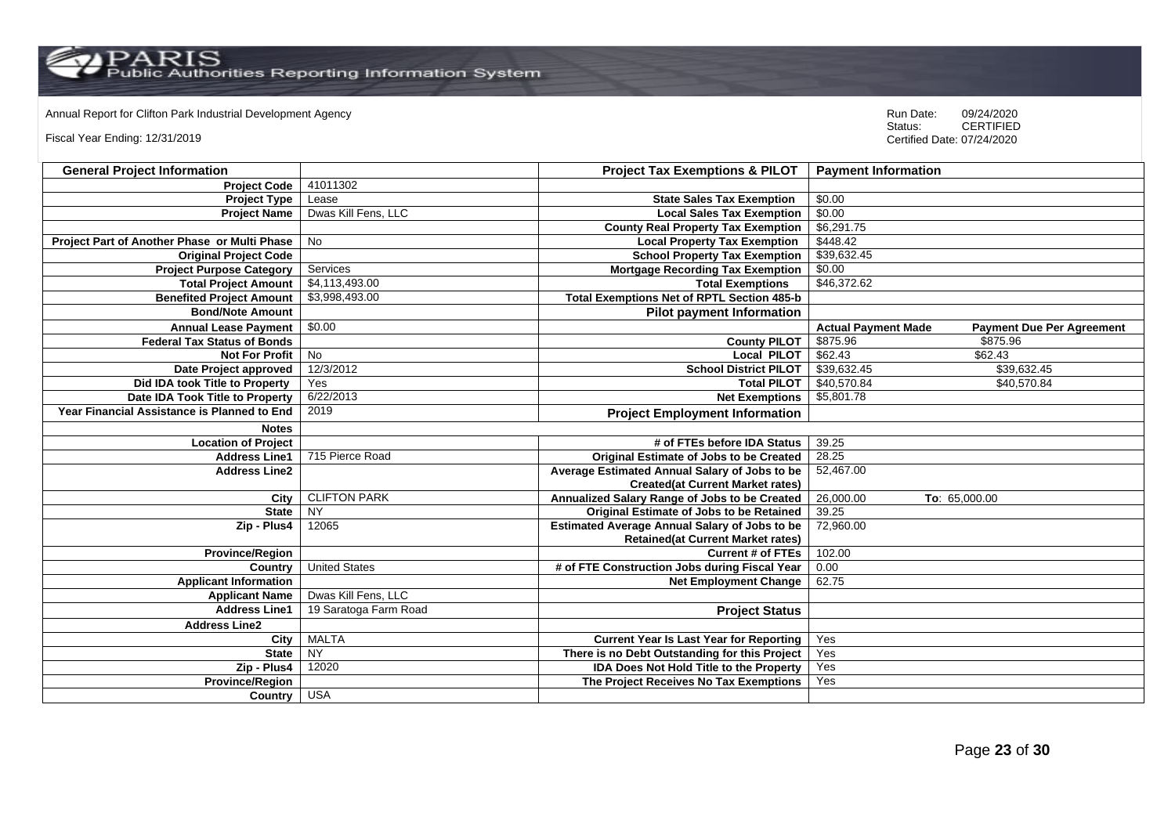Annual Report for Clifton Park Industrial Development Agency<br>
Status: CERTIFIED

Fiscal Year Ending: 12/31/2019

| <b>General Project Information</b>           |                       | <b>Project Tax Exemptions &amp; PILOT</b>            | <b>Payment Information</b> |                                  |
|----------------------------------------------|-----------------------|------------------------------------------------------|----------------------------|----------------------------------|
| <b>Project Code</b>                          | 41011302              |                                                      |                            |                                  |
| <b>Project Type</b>                          | Lease                 | <b>State Sales Tax Exemption</b>                     | \$0.00                     |                                  |
| <b>Project Name</b>                          | Dwas Kill Fens, LLC   | <b>Local Sales Tax Exemption</b>                     | \$0.00                     |                                  |
|                                              |                       | <b>County Real Property Tax Exemption</b>            | \$6,291.75                 |                                  |
| Project Part of Another Phase or Multi Phase | <b>No</b>             | <b>Local Property Tax Exemption</b>                  | \$448.42                   |                                  |
| <b>Original Project Code</b>                 |                       | <b>School Property Tax Exemption</b>                 | \$39,632.45                |                                  |
| <b>Project Purpose Category</b>              | Services              | <b>Mortgage Recording Tax Exemption</b>              | \$0.00                     |                                  |
| <b>Total Project Amount</b>                  | \$4,113,493.00        | <b>Total Exemptions</b>                              | \$46,372.62                |                                  |
| <b>Benefited Project Amount</b>              | \$3,998,493.00        | <b>Total Exemptions Net of RPTL Section 485-b</b>    |                            |                                  |
| <b>Bond/Note Amount</b>                      |                       | <b>Pilot payment Information</b>                     |                            |                                  |
| <b>Annual Lease Payment</b>                  | \$0.00                |                                                      | <b>Actual Payment Made</b> | <b>Payment Due Per Agreement</b> |
| <b>Federal Tax Status of Bonds</b>           |                       | <b>County PILOT</b>                                  | \$875.96                   | \$875.96                         |
| <b>Not For Profit</b>                        | No                    | Local PILOT                                          | \$62.43                    | \$62.43                          |
| Date Project approved                        | 12/3/2012             | <b>School District PILOT</b>                         | \$39,632.45                | \$39,632.45                      |
| Did IDA took Title to Property               | Yes                   | <b>Total PILOT</b>                                   | \$40,570.84                | \$40,570.84                      |
| Date IDA Took Title to Property              | 6/22/2013             | <b>Net Exemptions</b>                                | \$5,801.78                 |                                  |
| Year Financial Assistance is Planned to End  | 2019                  | <b>Project Employment Information</b>                |                            |                                  |
| <b>Notes</b>                                 |                       |                                                      |                            |                                  |
| <b>Location of Project</b>                   |                       | # of FTEs before IDA Status                          | 39.25                      |                                  |
| <b>Address Line1</b>                         | 715 Pierce Road       | <b>Original Estimate of Jobs to be Created</b>       | 28.25                      |                                  |
| <b>Address Line2</b>                         |                       | Average Estimated Annual Salary of Jobs to be        | 52,467.00                  |                                  |
|                                              |                       | <b>Created(at Current Market rates)</b>              |                            |                                  |
| City                                         | <b>CLIFTON PARK</b>   | Annualized Salary Range of Jobs to be Created        | 26,000.00<br>To: 65,000.00 |                                  |
| <b>State</b>                                 | <b>NY</b>             | Original Estimate of Jobs to be Retained             | 39.25                      |                                  |
| Zip - Plus4                                  | 12065                 | <b>Estimated Average Annual Salary of Jobs to be</b> | 72,960.00                  |                                  |
|                                              |                       | <b>Retained(at Current Market rates)</b>             |                            |                                  |
| <b>Province/Region</b>                       |                       | <b>Current # of FTEs</b>                             | 102.00                     |                                  |
| Country                                      | <b>United States</b>  | # of FTE Construction Jobs during Fiscal Year        | 0.00                       |                                  |
| <b>Applicant Information</b>                 |                       | <b>Net Employment Change</b>                         | 62.75                      |                                  |
| <b>Applicant Name</b>                        | Dwas Kill Fens, LLC   |                                                      |                            |                                  |
| <b>Address Line1</b>                         | 19 Saratoga Farm Road | <b>Project Status</b>                                |                            |                                  |
| <b>Address Line2</b>                         |                       |                                                      |                            |                                  |
| City                                         | <b>MALTA</b>          | <b>Current Year Is Last Year for Reporting</b>       | Yes                        |                                  |
| <b>State</b>                                 | $\overline{NY}$       | There is no Debt Outstanding for this Project        | Yes                        |                                  |
| Zip - Plus4                                  | 12020                 | <b>IDA Does Not Hold Title to the Property</b>       | Yes                        |                                  |
| Province/Region                              |                       | The Project Receives No Tax Exemptions               | Yes                        |                                  |
| Country                                      | <b>USA</b>            |                                                      |                            |                                  |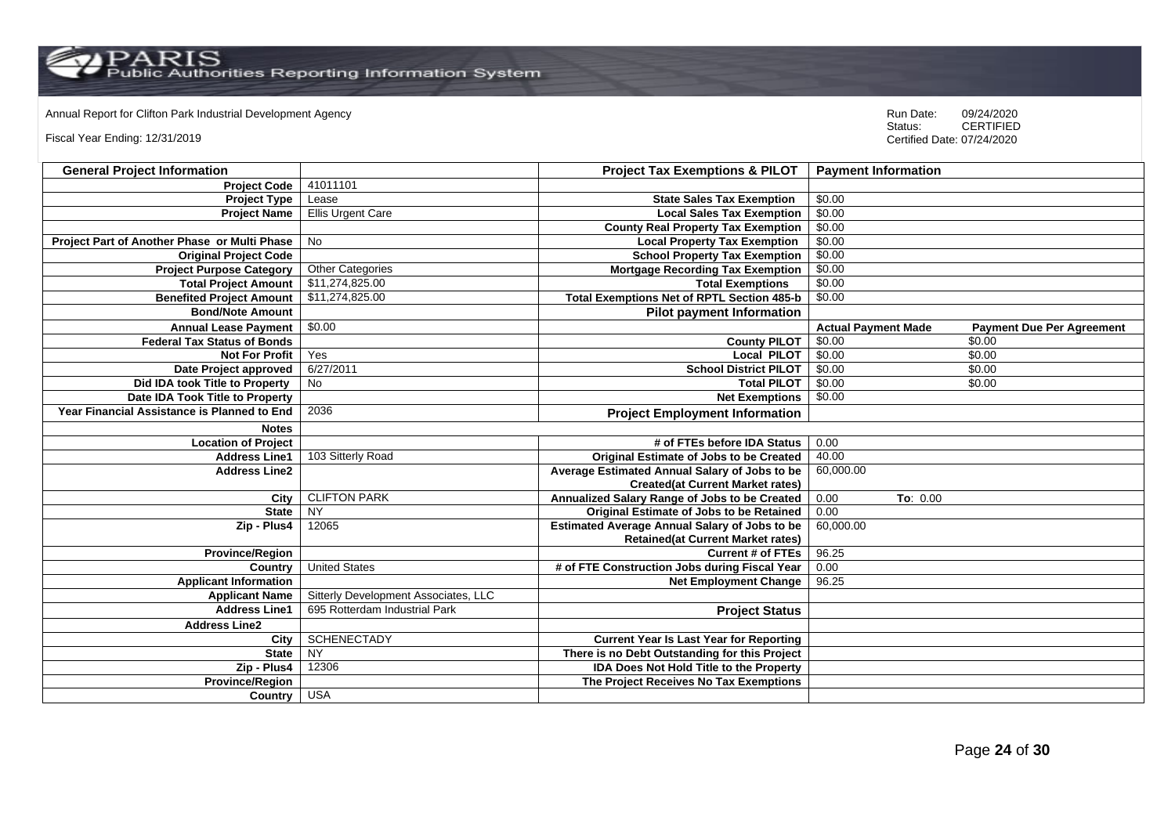Annual Report for Clifton Park Industrial Development Agency<br>
Status: CERTIFIED

Fiscal Year Ending: 12/31/2019

| <b>General Project Information</b>           |                                      | <b>Project Tax Exemptions &amp; PILOT</b>            | <b>Payment Information</b> |                                  |
|----------------------------------------------|--------------------------------------|------------------------------------------------------|----------------------------|----------------------------------|
| <b>Project Code</b>                          | 41011101                             |                                                      |                            |                                  |
| <b>Project Type</b>                          | Lease                                | <b>State Sales Tax Exemption</b>                     | \$0.00                     |                                  |
| <b>Project Name</b>                          | <b>Ellis Urgent Care</b>             | <b>Local Sales Tax Exemption</b>                     | \$0.00                     |                                  |
|                                              |                                      | <b>County Real Property Tax Exemption</b>            | \$0.00                     |                                  |
| Project Part of Another Phase or Multi Phase | <b>No</b>                            | <b>Local Property Tax Exemption</b>                  | \$0.00                     |                                  |
| <b>Original Project Code</b>                 |                                      | <b>School Property Tax Exemption</b>                 | \$0.00                     |                                  |
| <b>Project Purpose Category</b>              | Other Categories                     | <b>Mortgage Recording Tax Exemption</b>              | \$0.00                     |                                  |
| <b>Total Project Amount</b>                  | \$11,274,825.00                      | <b>Total Exemptions</b>                              | \$0.00                     |                                  |
| <b>Benefited Project Amount</b>              | \$11,274,825.00                      | <b>Total Exemptions Net of RPTL Section 485-b</b>    | \$0.00                     |                                  |
| <b>Bond/Note Amount</b>                      |                                      | <b>Pilot payment Information</b>                     |                            |                                  |
| <b>Annual Lease Payment</b>                  | \$0.00                               |                                                      | <b>Actual Payment Made</b> | <b>Payment Due Per Agreement</b> |
| <b>Federal Tax Status of Bonds</b>           |                                      | <b>County PILOT</b>                                  | \$0.00                     | \$0.00                           |
| <b>Not For Profit</b>                        | Yes                                  | Local PILOT                                          | \$0.00                     | \$0.00                           |
| Date Project approved                        | 6/27/2011                            | <b>School District PILOT</b>                         | \$0.00                     | \$0.00                           |
| Did IDA took Title to Property               | No                                   | <b>Total PILOT</b>                                   | \$0.00                     | \$0.00                           |
| Date IDA Took Title to Property              |                                      | <b>Net Exemptions</b>                                | \$0.00                     |                                  |
| Year Financial Assistance is Planned to End  | 2036                                 | <b>Project Employment Information</b>                |                            |                                  |
| <b>Notes</b>                                 |                                      |                                                      |                            |                                  |
| <b>Location of Project</b>                   |                                      | # of FTEs before IDA Status                          | 0.00                       |                                  |
| <b>Address Line1</b>                         | 103 Sitterly Road                    | <b>Original Estimate of Jobs to be Created</b>       | 40.00                      |                                  |
| <b>Address Line2</b>                         |                                      | Average Estimated Annual Salary of Jobs to be        | 60,000.00                  |                                  |
|                                              |                                      | <b>Created(at Current Market rates)</b>              |                            |                                  |
| City                                         | <b>CLIFTON PARK</b>                  | Annualized Salary Range of Jobs to be Created        | 0.00<br>To: 0.00           |                                  |
| <b>State</b>                                 | <b>NY</b>                            | Original Estimate of Jobs to be Retained             | 0.00                       |                                  |
| Zip - Plus4                                  | 12065                                | <b>Estimated Average Annual Salary of Jobs to be</b> | 60,000.00                  |                                  |
|                                              |                                      | <b>Retained(at Current Market rates)</b>             |                            |                                  |
| <b>Province/Region</b>                       |                                      | <b>Current # of FTEs</b>                             | 96.25                      |                                  |
| Country                                      | <b>United States</b>                 | # of FTE Construction Jobs during Fiscal Year        | 0.00                       |                                  |
| <b>Applicant Information</b>                 |                                      | <b>Net Employment Change</b>                         | 96.25                      |                                  |
| <b>Applicant Name</b>                        | Sitterly Development Associates, LLC |                                                      |                            |                                  |
| <b>Address Line1</b>                         | 695 Rotterdam Industrial Park        | <b>Project Status</b>                                |                            |                                  |
| <b>Address Line2</b>                         |                                      |                                                      |                            |                                  |
| City                                         | <b>SCHENECTADY</b>                   | <b>Current Year Is Last Year for Reporting</b>       |                            |                                  |
| <b>State</b>                                 | $\overline{NY}$                      | There is no Debt Outstanding for this Project        |                            |                                  |
| Zip - Plus4                                  | 12306                                | <b>IDA Does Not Hold Title to the Property</b>       |                            |                                  |
| <b>Province/Region</b>                       |                                      | The Project Receives No Tax Exemptions               |                            |                                  |
| Country USA                                  |                                      |                                                      |                            |                                  |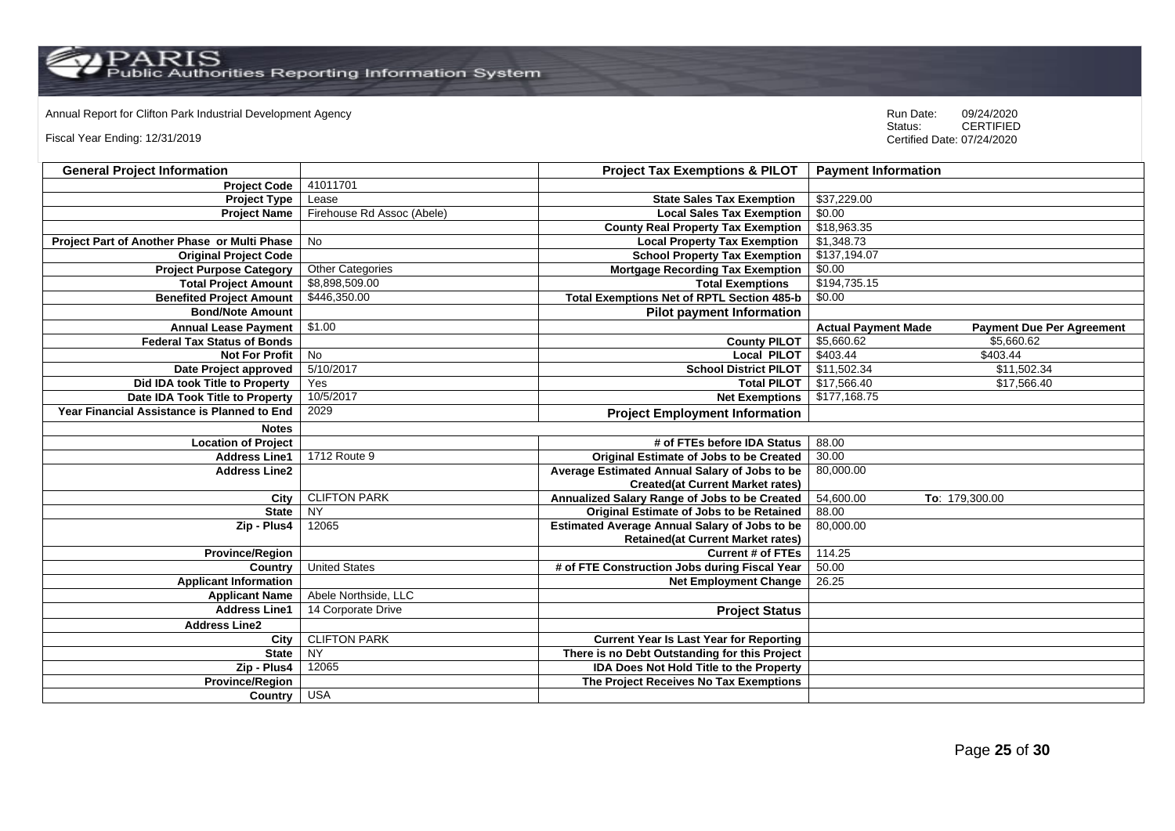Annual Report for Clifton Park Industrial Development Agency<br>
Status: CERTIFIED

Fiscal Year Ending: 12/31/2019

| <b>General Project Information</b>           |                            | <b>Project Tax Exemptions &amp; PILOT</b>            | <b>Payment Information</b>                                     |
|----------------------------------------------|----------------------------|------------------------------------------------------|----------------------------------------------------------------|
| <b>Project Code</b>                          | 41011701                   |                                                      |                                                                |
| <b>Project Type</b>                          | Lease                      | <b>State Sales Tax Exemption</b>                     | \$37,229.00                                                    |
| <b>Project Name</b>                          | Firehouse Rd Assoc (Abele) | <b>Local Sales Tax Exemption</b>                     | \$0.00                                                         |
|                                              |                            | <b>County Real Property Tax Exemption</b>            | \$18,963.35                                                    |
| Project Part of Another Phase or Multi Phase | No                         | <b>Local Property Tax Exemption</b>                  | \$1,348.73                                                     |
| <b>Original Project Code</b>                 |                            | <b>School Property Tax Exemption</b>                 | \$137,194.07                                                   |
| <b>Project Purpose Category</b>              | <b>Other Categories</b>    | <b>Mortgage Recording Tax Exemption</b>              | \$0.00                                                         |
| <b>Total Project Amount</b>                  | \$8,898,509.00             | <b>Total Exemptions</b>                              | \$194,735.15                                                   |
| <b>Benefited Project Amount</b>              | \$446,350.00               | Total Exemptions Net of RPTL Section 485-b           | \$0.00                                                         |
| <b>Bond/Note Amount</b>                      |                            | <b>Pilot payment Information</b>                     |                                                                |
| <b>Annual Lease Payment</b>                  | \$1.00                     |                                                      | <b>Actual Payment Made</b><br><b>Payment Due Per Agreement</b> |
| <b>Federal Tax Status of Bonds</b>           |                            | <b>County PILOT</b>                                  | \$5,660.62<br>\$5,660.62                                       |
| <b>Not For Profit</b>                        | No                         | <b>Local PILOT</b>                                   | \$403.44<br>\$403.44                                           |
| Date Project approved                        | 5/10/2017                  | <b>School District PILOT</b>                         | \$11,502.34<br>\$11,502.34                                     |
| Did IDA took Title to Property               | Yes                        | <b>Total PILOT</b>                                   | \$17,566.40<br>\$17,566.40                                     |
| Date IDA Took Title to Property              | 10/5/2017                  | <b>Net Exemptions</b>                                | \$177,168.75                                                   |
| Year Financial Assistance is Planned to End  | 2029                       | <b>Project Employment Information</b>                |                                                                |
| <b>Notes</b>                                 |                            |                                                      |                                                                |
| <b>Location of Project</b>                   |                            | # of FTEs before IDA Status                          | 88.00                                                          |
| <b>Address Line1</b>                         | 1712 Route 9               | <b>Original Estimate of Jobs to be Created</b>       | 30.00                                                          |
| <b>Address Line2</b>                         |                            | Average Estimated Annual Salary of Jobs to be        | 80,000.00                                                      |
|                                              |                            | <b>Created(at Current Market rates)</b>              |                                                                |
| City                                         | <b>CLIFTON PARK</b>        | Annualized Salary Range of Jobs to be Created        | 54,600.00<br>To: 179,300.00                                    |
| <b>State</b>                                 | <b>NY</b>                  | Original Estimate of Jobs to be Retained             | 88.00                                                          |
| Zip - Plus4                                  | 12065                      | <b>Estimated Average Annual Salary of Jobs to be</b> | 80,000.00                                                      |
|                                              |                            | <b>Retained(at Current Market rates)</b>             |                                                                |
| <b>Province/Region</b>                       |                            | <b>Current # of FTEs</b>                             | 114.25                                                         |
| Country                                      | <b>United States</b>       | # of FTE Construction Jobs during Fiscal Year        | 50.00                                                          |
| <b>Applicant Information</b>                 |                            | <b>Net Employment Change</b>                         | 26.25                                                          |
| <b>Applicant Name</b>                        | Abele Northside, LLC       |                                                      |                                                                |
| <b>Address Line1</b>                         | 14 Corporate Drive         | <b>Project Status</b>                                |                                                                |
| <b>Address Line2</b>                         |                            |                                                      |                                                                |
| City                                         | <b>CLIFTON PARK</b>        | <b>Current Year Is Last Year for Reporting</b>       |                                                                |
| <b>State</b>                                 | $\overline{NY}$            | There is no Debt Outstanding for this Project        |                                                                |
| Zip - Plus4                                  | 12065                      | <b>IDA Does Not Hold Title to the Property</b>       |                                                                |
| Province/Region                              |                            | The Project Receives No Tax Exemptions               |                                                                |
| Country                                      | <b>USA</b>                 |                                                      |                                                                |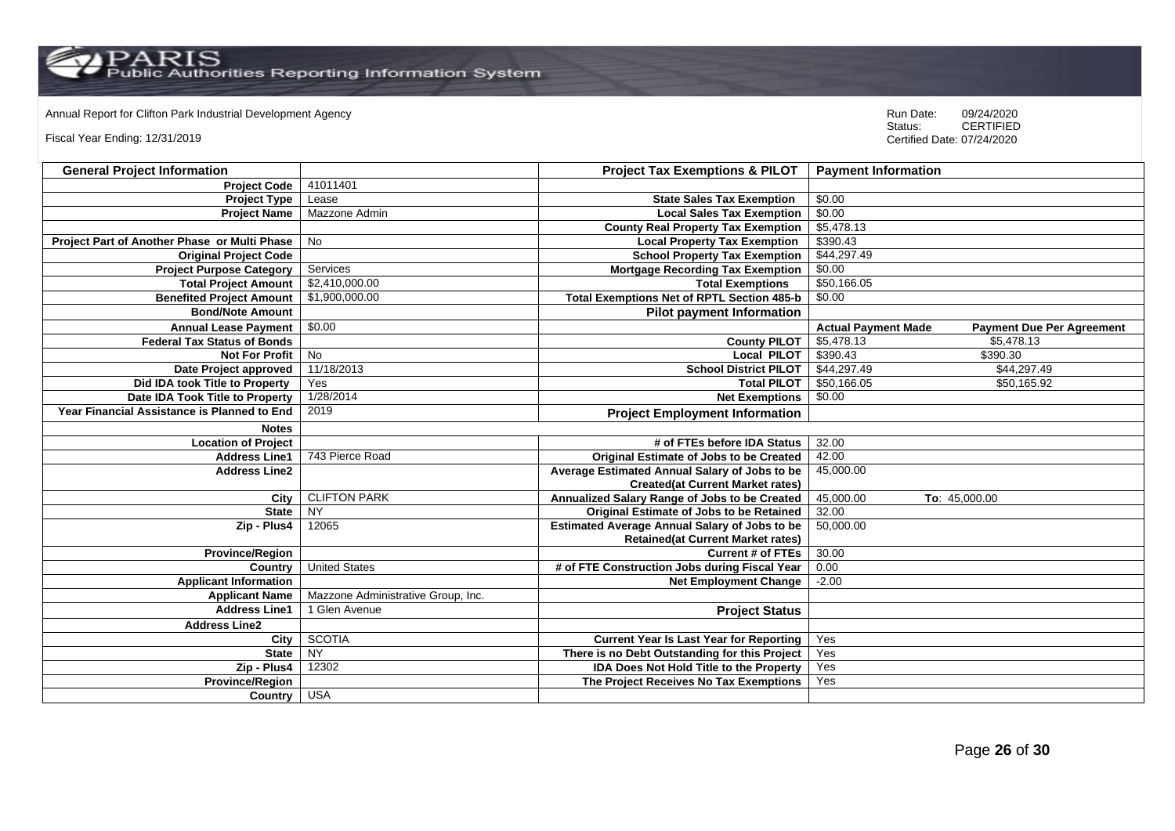Annual Report for Clifton Park Industrial Development Agency<br>
Status: CERTIFIED

Fiscal Year Ending: 12/31/2019

| <b>General Project Information</b>           |                                    | <b>Project Tax Exemptions &amp; PILOT</b>            | <b>Payment Information</b>                                     |  |
|----------------------------------------------|------------------------------------|------------------------------------------------------|----------------------------------------------------------------|--|
| <b>Project Code</b>                          | 41011401                           |                                                      |                                                                |  |
| <b>Project Type</b>                          | Lease                              | <b>State Sales Tax Exemption</b>                     | \$0.00                                                         |  |
| <b>Project Name</b>                          | Mazzone Admin                      | <b>Local Sales Tax Exemption</b>                     | \$0.00                                                         |  |
|                                              |                                    | <b>County Real Property Tax Exemption</b>            | \$5,478.13                                                     |  |
| Project Part of Another Phase or Multi Phase | No                                 | <b>Local Property Tax Exemption</b>                  | \$390.43                                                       |  |
| <b>Original Project Code</b>                 |                                    | <b>School Property Tax Exemption</b>                 | \$44,297.49                                                    |  |
| <b>Project Purpose Category</b>              | Services                           | <b>Mortgage Recording Tax Exemption</b>              | \$0.00                                                         |  |
| <b>Total Project Amount</b>                  | \$2,410,000.00                     | <b>Total Exemptions</b>                              | \$50,166.05                                                    |  |
| <b>Benefited Project Amount</b>              | \$1,900,000.00                     | <b>Total Exemptions Net of RPTL Section 485-b</b>    | \$0.00                                                         |  |
| <b>Bond/Note Amount</b>                      |                                    | <b>Pilot payment Information</b>                     |                                                                |  |
| <b>Annual Lease Payment</b>                  | \$0.00                             |                                                      | <b>Actual Payment Made</b><br><b>Payment Due Per Agreement</b> |  |
| <b>Federal Tax Status of Bonds</b>           |                                    | <b>County PILOT</b>                                  | \$5,478.13<br>\$5,478.13                                       |  |
| <b>Not For Profit</b>                        | $\overline{N}$                     | <b>Local PILOT</b>                                   | \$390.43<br>\$390.30                                           |  |
| Date Project approved                        | 11/18/2013                         | <b>School District PILOT</b>                         | \$44,297.49<br>\$44,297.49                                     |  |
| Did IDA took Title to Property               | Yes                                | <b>Total PILOT</b>                                   | \$50,166.05<br>\$50,165.92                                     |  |
| Date IDA Took Title to Property              | 1/28/2014                          | <b>Net Exemptions</b>                                | \$0.00                                                         |  |
| Year Financial Assistance is Planned to End  | 2019                               | <b>Project Employment Information</b>                |                                                                |  |
| <b>Notes</b>                                 |                                    |                                                      |                                                                |  |
| <b>Location of Project</b>                   |                                    | # of FTEs before IDA Status                          | 32.00                                                          |  |
| <b>Address Line1</b>                         | 743 Pierce Road                    | <b>Original Estimate of Jobs to be Created</b>       | 42.00                                                          |  |
| <b>Address Line2</b>                         |                                    | Average Estimated Annual Salary of Jobs to be        | 45,000.00                                                      |  |
|                                              |                                    | <b>Created(at Current Market rates)</b>              |                                                                |  |
| City                                         | <b>CLIFTON PARK</b>                | Annualized Salary Range of Jobs to be Created        | 45,000.00<br>To: 45,000.00                                     |  |
| <b>State</b>                                 | <b>NY</b>                          | <b>Original Estimate of Jobs to be Retained</b>      | 32.00                                                          |  |
| Zip - Plus4                                  | 12065                              | <b>Estimated Average Annual Salary of Jobs to be</b> | 50,000.00                                                      |  |
|                                              |                                    | <b>Retained(at Current Market rates)</b>             |                                                                |  |
| <b>Province/Region</b>                       |                                    | <b>Current # of FTEs</b>                             | 30.00                                                          |  |
| Country                                      | <b>United States</b>               | # of FTE Construction Jobs during Fiscal Year        | 0.00                                                           |  |
| <b>Applicant Information</b>                 |                                    | <b>Net Employment Change</b>                         | $-2.00$                                                        |  |
| <b>Applicant Name</b>                        | Mazzone Administrative Group, Inc. |                                                      |                                                                |  |
| <b>Address Line1</b>                         | 1 Glen Avenue                      | <b>Project Status</b>                                |                                                                |  |
| <b>Address Line2</b>                         |                                    |                                                      |                                                                |  |
| City                                         | <b>SCOTIA</b>                      | <b>Current Year Is Last Year for Reporting</b>       | Yes                                                            |  |
| <b>State</b>                                 | $\overline{NY}$                    | There is no Debt Outstanding for this Project        | Yes                                                            |  |
| Zip - Plus4                                  | 12302                              | <b>IDA Does Not Hold Title to the Property</b>       | Yes                                                            |  |
| <b>Province/Region</b>                       |                                    | The Project Receives No Tax Exemptions               | Yes                                                            |  |
| Country USA                                  |                                    |                                                      |                                                                |  |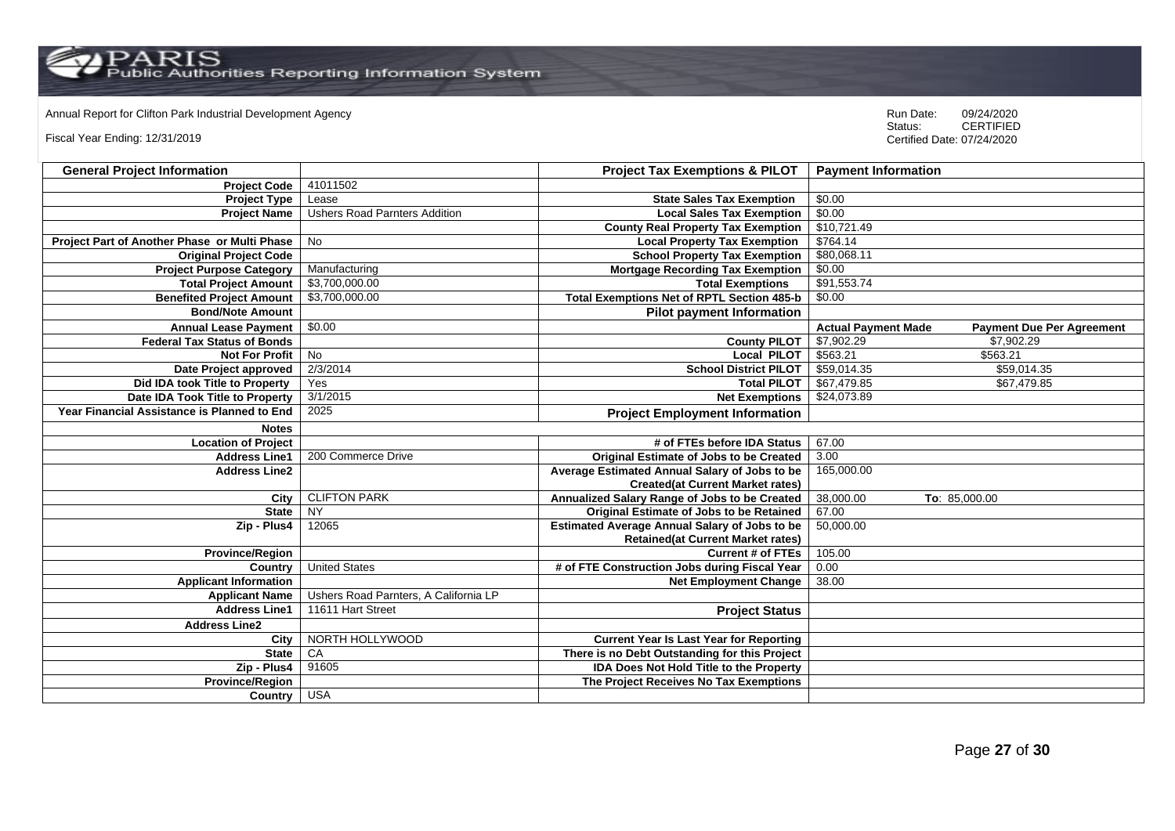Annual Report for Clifton Park Industrial Development Agency<br>
Status: CERTIFIED

Fiscal Year Ending: 12/31/2019

| <b>General Project Information</b>           |                                       | <b>Project Tax Exemptions &amp; PILOT</b>            | <b>Payment Information</b>                                     |
|----------------------------------------------|---------------------------------------|------------------------------------------------------|----------------------------------------------------------------|
| <b>Project Code</b>                          | 41011502                              |                                                      |                                                                |
| <b>Project Type</b>                          | Lease                                 | <b>State Sales Tax Exemption</b>                     | \$0.00                                                         |
| <b>Project Name</b>                          | <b>Ushers Road Parnters Addition</b>  | <b>Local Sales Tax Exemption</b>                     | \$0.00                                                         |
|                                              |                                       | <b>County Real Property Tax Exemption</b>            | \$10,721.49                                                    |
| Project Part of Another Phase or Multi Phase | No                                    | <b>Local Property Tax Exemption</b>                  | \$764.14                                                       |
| <b>Original Project Code</b>                 |                                       | <b>School Property Tax Exemption</b>                 | \$80,068.11                                                    |
| <b>Project Purpose Category</b>              | Manufacturing                         | <b>Mortgage Recording Tax Exemption</b>              | \$0.00                                                         |
| <b>Total Project Amount</b>                  | \$3,700,000.00                        | <b>Total Exemptions</b>                              | \$91,553.74                                                    |
| <b>Benefited Project Amount</b>              | \$3,700,000.00                        | Total Exemptions Net of RPTL Section 485-b           | \$0.00                                                         |
| <b>Bond/Note Amount</b>                      |                                       | <b>Pilot payment Information</b>                     |                                                                |
| <b>Annual Lease Payment</b>                  | \$0.00                                |                                                      | <b>Actual Payment Made</b><br><b>Payment Due Per Agreement</b> |
| <b>Federal Tax Status of Bonds</b>           |                                       | <b>County PILOT</b>                                  | \$7,902.29<br>\$7,902.29                                       |
| <b>Not For Profit</b>                        | No                                    | <b>Local PILOT</b>                                   | \$563.21<br>\$563.21                                           |
| Date Project approved                        | 2/3/2014                              | <b>School District PILOT</b>                         | \$59,014.35<br>\$59,014.35                                     |
| Did IDA took Title to Property               | Yes                                   | <b>Total PILOT</b>                                   | \$67,479.85<br>\$67,479.85                                     |
| Date IDA Took Title to Property              | 3/1/2015                              | <b>Net Exemptions</b>                                | \$24,073.89                                                    |
| Year Financial Assistance is Planned to End  | 2025                                  | <b>Project Employment Information</b>                |                                                                |
| <b>Notes</b>                                 |                                       |                                                      |                                                                |
| <b>Location of Project</b>                   |                                       | # of FTEs before IDA Status                          | 67.00                                                          |
| <b>Address Line1</b>                         | 200 Commerce Drive                    | <b>Original Estimate of Jobs to be Created</b>       | 3.00                                                           |
| <b>Address Line2</b>                         |                                       | Average Estimated Annual Salary of Jobs to be        | 165,000.00                                                     |
|                                              |                                       | <b>Created(at Current Market rates)</b>              |                                                                |
| City                                         | <b>CLIFTON PARK</b>                   | Annualized Salary Range of Jobs to be Created        | 38,000.00<br>To: 85,000.00                                     |
| <b>State</b>                                 | <b>NY</b>                             | Original Estimate of Jobs to be Retained             | 67.00                                                          |
| Zip - Plus4                                  | 12065                                 | <b>Estimated Average Annual Salary of Jobs to be</b> | 50,000.00                                                      |
|                                              |                                       | <b>Retained(at Current Market rates)</b>             |                                                                |
| <b>Province/Region</b>                       |                                       | <b>Current # of FTEs</b>                             | 105.00                                                         |
| Country                                      | <b>United States</b>                  | # of FTE Construction Jobs during Fiscal Year        | 0.00                                                           |
| <b>Applicant Information</b>                 |                                       | <b>Net Employment Change</b>                         | 38.00                                                          |
| <b>Applicant Name</b>                        | Ushers Road Parnters, A California LP |                                                      |                                                                |
| <b>Address Line1</b>                         | 11611 Hart Street                     | <b>Project Status</b>                                |                                                                |
| <b>Address Line2</b>                         |                                       |                                                      |                                                                |
| City                                         | NORTH HOLLYWOOD                       | <b>Current Year Is Last Year for Reporting</b>       |                                                                |
| <b>State</b>                                 | CA                                    | There is no Debt Outstanding for this Project        |                                                                |
| Zip - Plus4                                  | 91605                                 | <b>IDA Does Not Hold Title to the Property</b>       |                                                                |
| Province/Region                              |                                       | The Project Receives No Tax Exemptions               |                                                                |
| Country                                      | <b>USA</b>                            |                                                      |                                                                |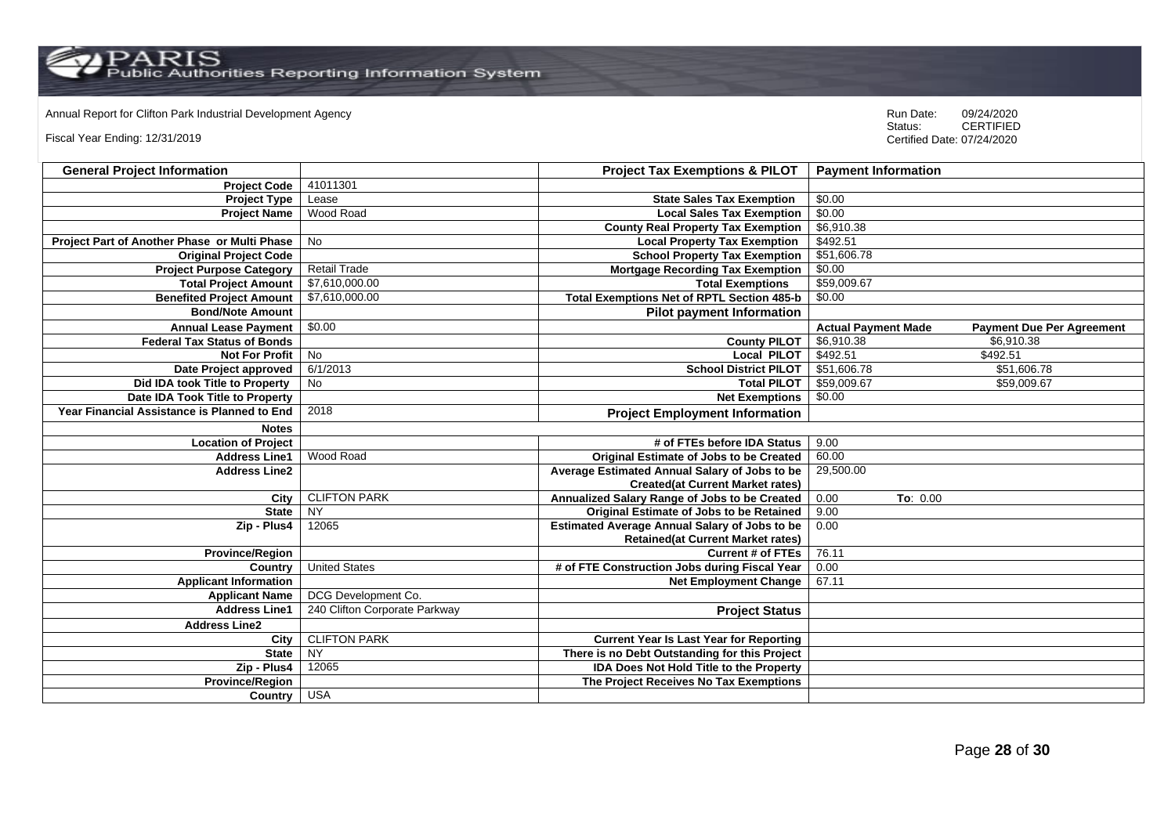Annual Report for Clifton Park Industrial Development Agency<br>
Status: CERTIFIED

Fiscal Year Ending: 12/31/2019

| <b>General Project Information</b>           |                               | <b>Project Tax Exemptions &amp; PILOT</b>            | <b>Payment Information</b> |                                  |
|----------------------------------------------|-------------------------------|------------------------------------------------------|----------------------------|----------------------------------|
| <b>Project Code</b>                          | 41011301                      |                                                      |                            |                                  |
| <b>Project Type</b>                          | Lease                         | <b>State Sales Tax Exemption</b>                     | \$0.00                     |                                  |
| <b>Project Name</b>                          | <b>Wood Road</b>              | <b>Local Sales Tax Exemption</b>                     | \$0.00                     |                                  |
|                                              |                               | <b>County Real Property Tax Exemption</b>            | \$6,910.38                 |                                  |
| Project Part of Another Phase or Multi Phase | <b>No</b>                     | <b>Local Property Tax Exemption</b>                  | \$492.51                   |                                  |
| <b>Original Project Code</b>                 |                               | <b>School Property Tax Exemption</b>                 | \$51,606.78                |                                  |
| <b>Project Purpose Category</b>              | <b>Retail Trade</b>           | <b>Mortgage Recording Tax Exemption</b>              | \$0.00                     |                                  |
| <b>Total Project Amount</b>                  | \$7,610,000.00                | <b>Total Exemptions</b>                              | \$59,009.67                |                                  |
| <b>Benefited Project Amount</b>              | \$7,610,000.00                | Total Exemptions Net of RPTL Section 485-b           | \$0.00                     |                                  |
| <b>Bond/Note Amount</b>                      |                               | <b>Pilot payment Information</b>                     |                            |                                  |
| <b>Annual Lease Payment</b>                  | \$0.00                        |                                                      | <b>Actual Payment Made</b> | <b>Payment Due Per Agreement</b> |
| <b>Federal Tax Status of Bonds</b>           |                               | <b>County PILOT</b>                                  | \$6,910.38                 | \$6,910.38                       |
| <b>Not For Profit</b>                        | $\overline{N}$                | <b>Local PILOT</b>                                   | \$492.51                   | \$492.51                         |
| Date Project approved                        | 6/1/2013                      | <b>School District PILOT</b>                         | \$51,606.78                | \$51,606.78                      |
| Did IDA took Title to Property               | <b>No</b>                     | <b>Total PILOT</b>                                   | \$59,009.67                | \$59,009.67                      |
| Date IDA Took Title to Property              |                               | <b>Net Exemptions</b>                                | \$0.00                     |                                  |
| Year Financial Assistance is Planned to End  | 2018                          | <b>Project Employment Information</b>                |                            |                                  |
| <b>Notes</b>                                 |                               |                                                      |                            |                                  |
| <b>Location of Project</b>                   |                               | # of FTEs before IDA Status                          | 9.00                       |                                  |
| <b>Address Line1</b>                         | Wood Road                     | <b>Original Estimate of Jobs to be Created</b>       | 60.00                      |                                  |
| <b>Address Line2</b>                         |                               | Average Estimated Annual Salary of Jobs to be        | 29,500.00                  |                                  |
|                                              |                               | <b>Created(at Current Market rates)</b>              |                            |                                  |
| City                                         | <b>CLIFTON PARK</b>           | Annualized Salary Range of Jobs to be Created        | 0.00<br>To: 0.00           |                                  |
| <b>State</b>                                 | <b>NY</b>                     | Original Estimate of Jobs to be Retained             | 9.00                       |                                  |
| Zip - Plus4                                  | 12065                         | <b>Estimated Average Annual Salary of Jobs to be</b> | 0.00                       |                                  |
|                                              |                               | <b>Retained(at Current Market rates)</b>             |                            |                                  |
| <b>Province/Region</b>                       |                               | <b>Current # of FTEs</b>                             | 76.11                      |                                  |
| Country                                      | <b>United States</b>          | # of FTE Construction Jobs during Fiscal Year        | 0.00                       |                                  |
| <b>Applicant Information</b>                 |                               | <b>Net Employment Change</b>                         | 67.11                      |                                  |
| <b>Applicant Name</b>                        | DCG Development Co.           |                                                      |                            |                                  |
| <b>Address Line1</b>                         | 240 Clifton Corporate Parkway | <b>Project Status</b>                                |                            |                                  |
| <b>Address Line2</b>                         |                               |                                                      |                            |                                  |
| City                                         | <b>CLIFTON PARK</b>           | <b>Current Year Is Last Year for Reporting</b>       |                            |                                  |
| <b>State</b>                                 | $\overline{NY}$               | There is no Debt Outstanding for this Project        |                            |                                  |
| Zip - Plus4                                  | 12065                         | <b>IDA Does Not Hold Title to the Property</b>       |                            |                                  |
| <b>Province/Region</b>                       |                               | The Project Receives No Tax Exemptions               |                            |                                  |
| Country                                      | <b>USA</b>                    |                                                      |                            |                                  |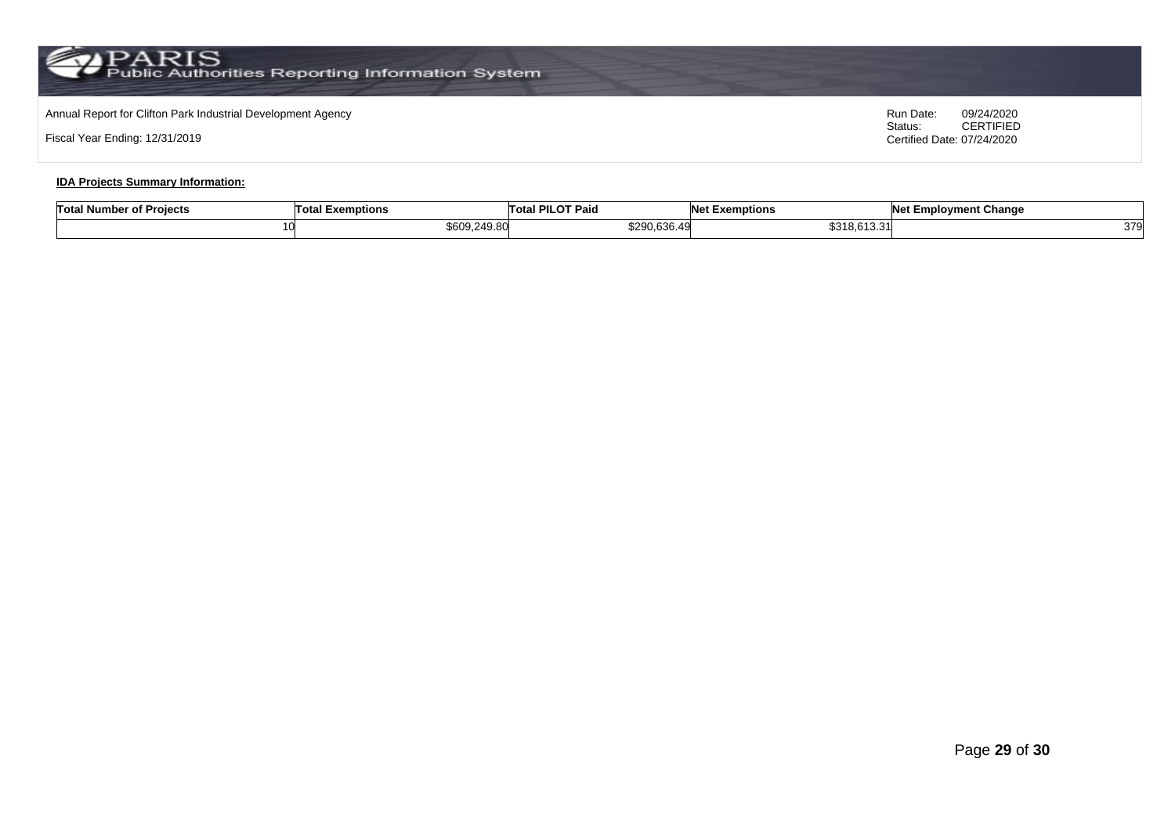### Annual Report for Clifton Park Industrial Development Agency<br>
Status: CERTIFIED<br>
CERTIFIED

Fiscal Year Ending: 12/31/2019

CERTIFIED Certified Date: 07/24/2020

#### **IDA Projects Summary Information:**

| fotal <b>'</b><br>I Number of Proiects. | ⊣⊺otal <sup>ਸ</sup><br>. Exemptions              | <b>I PILOT Paid</b><br>Tota | <b>Net Exemptions</b> | <b>Employment Change</b><br><b>Net.</b> |
|-----------------------------------------|--------------------------------------------------|-----------------------------|-----------------------|-----------------------------------------|
| 10                                      | <b>CCOO</b><br>240.00<br>ახ∪9.∠49.8 <del>ს</del> | ድጋወሰ ድ3ጣ<br>ZYU.DJD.        | \$318.61?<br>21<br>   | $\sim$<br>. .<br>ບ ≀ ວ                  |